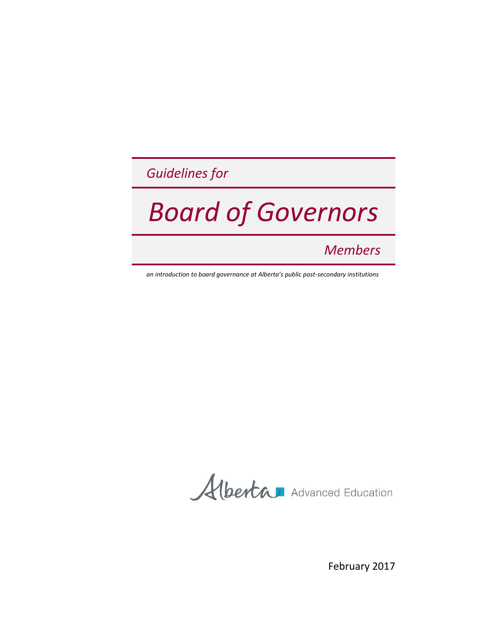*Guidelines for*

# *Board of Governors*

*Members*

*an introduction to board governance at Alberta's public post-secondary institutions*

Albertan Advanced Education

February 2017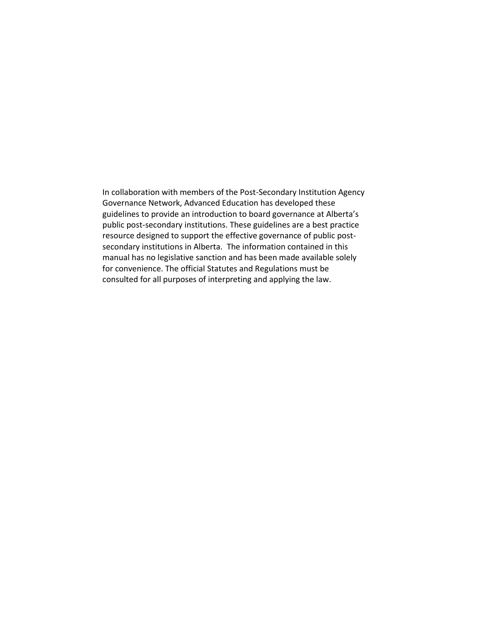In collaboration with members of the Post-Secondary Institution Agency Governance Network, Advanced Education has developed these guidelines to provide an introduction to board governance at Alberta's public post-secondary institutions. These guidelines are a best practice resource designed to support the effective governance of public postsecondary institutions in Alberta. The information contained in this manual has no legislative sanction and has been made available solely for convenience. The official Statutes and Regulations must be consulted for all purposes of interpreting and applying the law.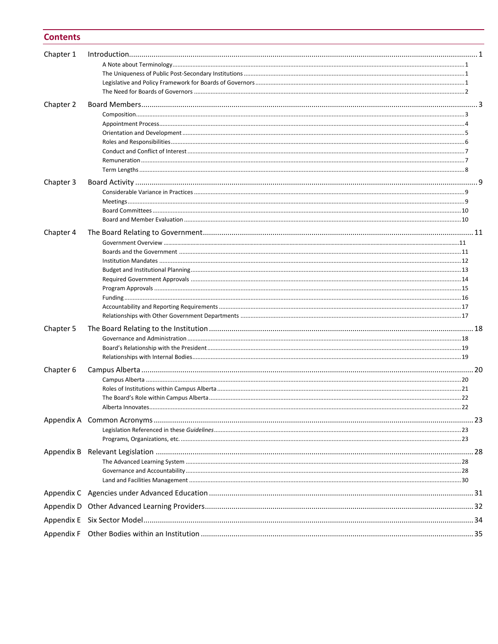#### **Contents**

| Chapter 1 |  |
|-----------|--|
|           |  |
|           |  |
|           |  |
|           |  |
| Chapter 2 |  |
|           |  |
|           |  |
|           |  |
|           |  |
|           |  |
|           |  |
|           |  |
| Chapter 3 |  |
|           |  |
|           |  |
|           |  |
| Chapter 4 |  |
|           |  |
|           |  |
|           |  |
|           |  |
|           |  |
|           |  |
|           |  |
|           |  |
|           |  |
| Chapter 5 |  |
|           |  |
|           |  |
|           |  |
| Chapter 6 |  |
|           |  |
|           |  |
|           |  |
|           |  |
|           |  |
|           |  |
|           |  |
|           |  |
|           |  |
|           |  |
|           |  |
|           |  |
|           |  |
|           |  |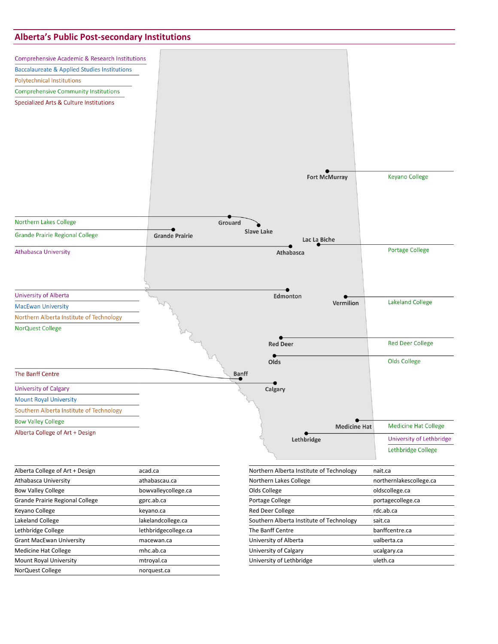#### **Alberta's Public Post-secondary Institutions**



| Alberta College of Art + Design            | acad.ca             | Northern Alberta Institute of Technology | nait.ca                 |
|--------------------------------------------|---------------------|------------------------------------------|-------------------------|
| Athabasca University                       | athabascau.ca       | Northern Lakes College                   | northernlakescollege.ca |
| <b>Bow Valley College</b>                  | bowvalleycollege.ca | Olds College                             | oldscollege.ca          |
| Grande Prairie Regional College            | gprc.ab.ca          | Portage College                          | portagecollege.ca       |
| Keyano College<br>keyano.ca                |                     | <b>Red Deer College</b>                  | rdc.ab.ca               |
| Lakeland College                           | lakelandcollege.ca  | Southern Alberta Institute of Technology | sait.ca                 |
| Lethbridge College<br>lethbridgecollege.ca |                     | The Banff Centre                         | banffcentre.ca          |
| <b>Grant MacEwan University</b>            | macewan.ca          | University of Alberta                    | ualberta.ca             |
| <b>Medicine Hat College</b>                | mhc.ab.ca           | University of Calgary                    | ucalgary.ca             |
| <b>Mount Royal University</b>              | mtroyal.ca          | University of Lethbridge                 | uleth.ca                |
| NorQuest College                           | norquest.ca         |                                          |                         |
|                                            |                     |                                          |                         |

| Northern Alberta Institute of Technology | nait.ca                 |
|------------------------------------------|-------------------------|
| Northern Lakes College                   | northernlakescollege.ca |
| Olds College                             | oldscollege.ca          |
| Portage College                          | portagecollege.ca       |
| <b>Red Deer College</b>                  | rdc.ab.ca               |
| Southern Alberta Institute of Technology | sait.ca                 |
| The Banff Centre                         | banffcentre.ca          |
| University of Alberta                    | ualberta.ca             |
| University of Calgary                    | ucalgary.ca             |
| University of Lethbridge                 | uleth.ca                |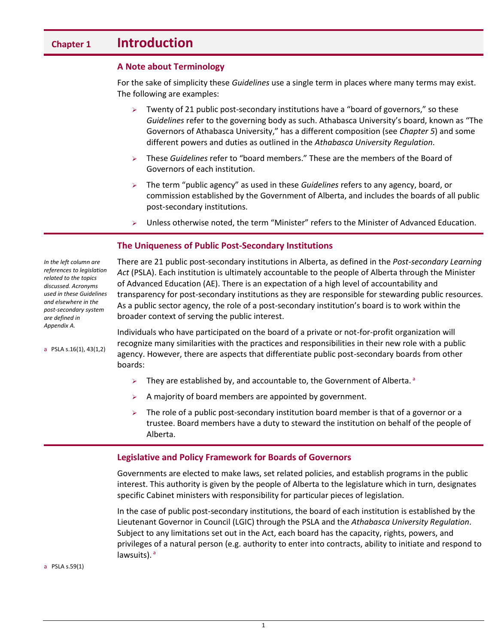# <span id="page-4-0"></span>**Chapter 1 Introduction**

#### <span id="page-4-1"></span>**A Note about Terminology**

For the sake of simplicity these *Guidelines* use a single term in places where many terms may exist. The following are examples:

- $\triangleright$  Twenty of 21 public post-secondary institutions have a "board of governors," so these *Guidelines* refer to the governing body as such. Athabasca University's board, known as "The Governors of Athabasca University," has a different composition (see *Chapter 5*) and some different powers and duties as outlined in the *Athabasca University Regulation*.
- These *Guidelines* refer to "board members." These are the members of the Board of Governors of each institution.
- The term "public agency" as used in these *Guidelines* refers to any agency, board, or commission established by the Government of Alberta, and includes the boards of all public post-secondary institutions.
- $\triangleright$  Unless otherwise noted, the term "Minister" refers to the Minister of Advanced Education.

#### <span id="page-4-2"></span>**The Uniqueness of Public Post-Secondary Institutions**

*In the left column are references to legislation related to the topics discussed. Acronyms used in these Guidelines and elsewhere in the post-secondary system are defined in Appendix A.*

a PSLA s.16(1), 43(1,2)

There are 21 public post-secondary institutions in Alberta, as defined in the *Post-secondary Learning Act* (PSLA). Each institution is ultimately accountable to the people of Alberta through the Minister of Advanced Education (AE). There is an expectation of a high level of accountability and transparency for post-secondary institutions as they are responsible for stewarding public resources. As a public sector agency, the role of a post-secondary institution's board is to work within the broader context of serving the public interest.

Individuals who have participated on the board of a private or not-for-profit organization will recognize many similarities with the practices and responsibilities in their new role with a public agency. However, there are aspects that differentiate public post-secondary boards from other boards:

- $\triangleright$  They are established by, and accountable to, the Government of Alberta.
- $\triangleright$  A majority of board members are appointed by government.
- $\triangleright$  The role of a public post-secondary institution board member is that of a governor or a trustee. Board members have a duty to steward the institution on behalf of the people of Alberta.

#### <span id="page-4-3"></span>**Legislative and Policy Framework for Boards of Governors**

Governments are elected to make laws, set related policies, and establish programs in the public interest. This authority is given by the people of Alberta to the legislature which in turn, designates specific Cabinet ministers with responsibility for particular pieces of legislation.

In the case of public post-secondary institutions, the board of each institution is established by the Lieutenant Governor in Council (LGIC) through the PSLA and the *Athabasca University Regulation*. Subject to any limitations set out in the Act, each board has the capacity, rights, powers, and privileges of a natural person (e.g. authority to enter into contracts, ability to initiate and respond to lawsuits).<sup>a</sup>

a PSLA s.59(1)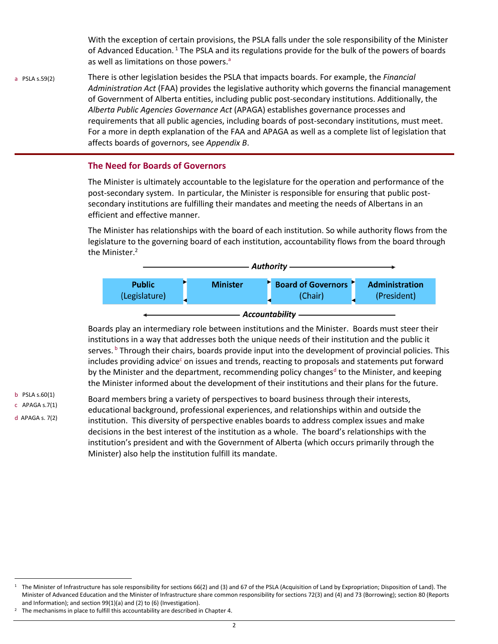With the exception of certain provisions, the PSLA falls under the sole responsibility of the Minister of Advanced Education.<sup>1</sup> The PSLA and its regulations provide for the bulk of the powers of boards as well as limitations on those powers.<sup>a</sup>

a PSLA s.59(2) There is other legislation besides the PSLA that impacts boards. For example, the *Financial Administration Act* (FAA) provides the legislative authority which governs the financial management of Government of Alberta entities, including public post-secondary institutions. Additionally, the *Alberta Public Agencies Governance Act* (APAGA) establishes governance processes and requirements that all public agencies, including boards of post-secondary institutions, must meet. For a more in depth explanation of the FAA and APAGA as well as a complete list of legislation that affects boards of governors, see *Appendix B*.

#### <span id="page-5-0"></span>**The Need for Boards of Governors**

The Minister is ultimately accountable to the legislature for the operation and performance of the post-secondary system. In particular, the Minister is responsible for ensuring that public postsecondary institutions are fulfilling their mandates and meeting the needs of Albertans in an efficient and effective manner.

The Minister has relationships with the board of each institution. So while authority flows from the legislature to the governing board of each institution, accountability flows from the board through the Minister.<sup>2</sup>



Boards play an intermediary role between institutions and the Minister. Boards must steer their institutions in a way that addresses both the unique needs of their institution and the public it serves.<sup>b</sup> Through their chairs, boards provide input into the development of provincial policies. This includes providing advice<sup>c</sup> on issues and trends, reacting to proposals and statements put forward by the Minister and the department, recommending policy changes<sup>d</sup> to the Minister, and keeping the Minister informed about the development of their institutions and their plans for the future.

b PSLA s.60(1) c APAGA s.7(1) d APAGA s. 7(2)

l

Board members bring a variety of perspectives to board business through their interests, educational background, professional experiences, and relationships within and outside the institution. This diversity of perspective enables boards to address complex issues and make decisions in the best interest of the institution as a whole. The board's relationships with the institution's president and with the Government of Alberta (which occurs primarily through the Minister) also help the institution fulfill its mandate.

<sup>&</sup>lt;sup>1</sup> The Minister of Infrastructure has sole responsibility for sections 66(2) and (3) and 67 of the PSLA (Acquisition of Land by Expropriation; Disposition of Land). The Minister of Advanced Education and the Minister of Infrastructure share common responsibility for sections 72(3) and (4) and 73 (Borrowing); section 80 (Reports and Information); and section 99(1)(a) and (2) to (6) (Investigation).

<sup>&</sup>lt;sup>2</sup> The mechanisms in place to fulfill this accountability are described in Chapter 4.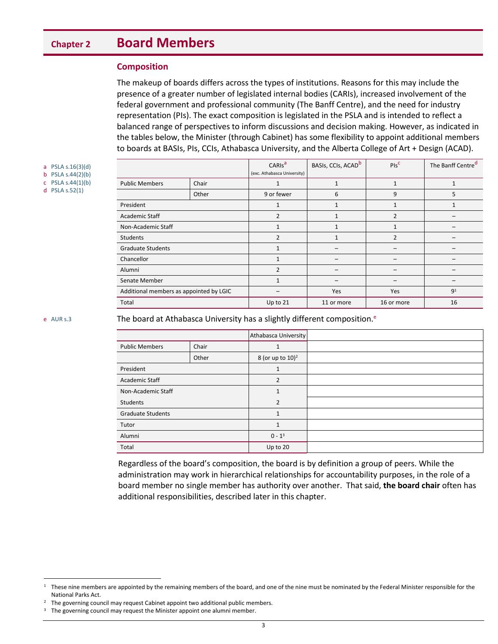# <span id="page-6-0"></span>**Chapter 2 Board Members**

#### <span id="page-6-1"></span>**Composition**

The makeup of boards differs across the types of institutions. Reasons for this may include the presence of a greater number of legislated internal bodies (CARIs), increased involvement of the federal government and professional community (The Banff Centre), and the need for industry representation (PIs). The exact composition is legislated in the PSLA and is intended to reflect a balanced range of perspectives to inform discussions and decision making. However, as indicated in the tables below, the Minister (through Cabinet) has some flexibility to appoint additional members to boards at BASIs, PIs, CCIs, Athabasca University, and the Alberta College of Art + Design (ACAD).

a PSLA s.16(3)(d) b PSLA s.44(2)(b)

c PSLA s.44(1)(b)

d PSLA s.52(1)

|                                         |       | CARIS <sup>a</sup><br>(exc. Athabasca University) | BASIs, CCIs, ACAD <sup>b</sup> | $PIS^C$        | The Banff Centre <sup>d</sup> |
|-----------------------------------------|-------|---------------------------------------------------|--------------------------------|----------------|-------------------------------|
| <b>Public Members</b>                   | Chair | 1                                                 | 1                              | $\mathbf{1}$   |                               |
|                                         | Other | 9 or fewer                                        | 6                              | 9              | 5                             |
| President                               |       | 1                                                 | $\mathbf{1}$                   | 1              | 1                             |
| Academic Staff                          |       | $\overline{2}$                                    | $\mathbf{1}$                   | $\overline{2}$ |                               |
| Non-Academic Staff                      |       | $\mathbf{1}$                                      | $\mathbf{1}$                   | $\mathbf{1}$   |                               |
| <b>Students</b>                         |       | $\overline{2}$                                    |                                | $\overline{2}$ |                               |
| <b>Graduate Students</b>                |       | $\mathbf{1}$                                      |                                |                |                               |
| Chancellor                              |       | 1                                                 |                                |                |                               |
| Alumni                                  |       | $\overline{2}$                                    |                                |                |                               |
| Senate Member                           |       | $\mathbf{1}$                                      |                                |                |                               |
| Additional members as appointed by LGIC |       |                                                   | <b>Yes</b>                     | <b>Yes</b>     | 9 <sup>1</sup>                |
| Total                                   |       | Up to 21                                          | 11 or more                     | 16 or more     | 16                            |

l

e  $AURs.3$  The board at Athabasca University has a slightly different composition.<sup>e</sup>

|                          |       | Athabasca University         |  |
|--------------------------|-------|------------------------------|--|
| <b>Public Members</b>    | Chair | 1                            |  |
|                          | Other | 8 (or up to 10) <sup>2</sup> |  |
| President                |       | $\mathbf{1}$                 |  |
| Academic Staff           |       | $\overline{2}$               |  |
| Non-Academic Staff       |       | $\mathbf{1}$                 |  |
| Students                 |       | $\overline{2}$               |  |
| <b>Graduate Students</b> |       | $\mathbf{1}$                 |  |
| Tutor                    |       | $\mathbf{1}$                 |  |
| Alumni                   |       | $0 - 1^3$                    |  |
| Total                    |       | Up to 20                     |  |

Regardless of the board's composition, the board is by definition a group of peers. While the administration may work in hierarchical relationships for accountability purposes, in the role of a board member no single member has authority over another. That said, **the board chair** often has additional responsibilities, described later in this chapter.

 $1$  These nine members are appointed by the remaining members of the board, and one of the nine must be nominated by the Federal Minister responsible for the National Parks Act.

<sup>&</sup>lt;sup>2</sup> The governing council may request Cabinet appoint two additional public members.

<sup>&</sup>lt;sup>3</sup> The governing council may request the Minister appoint one alumni member.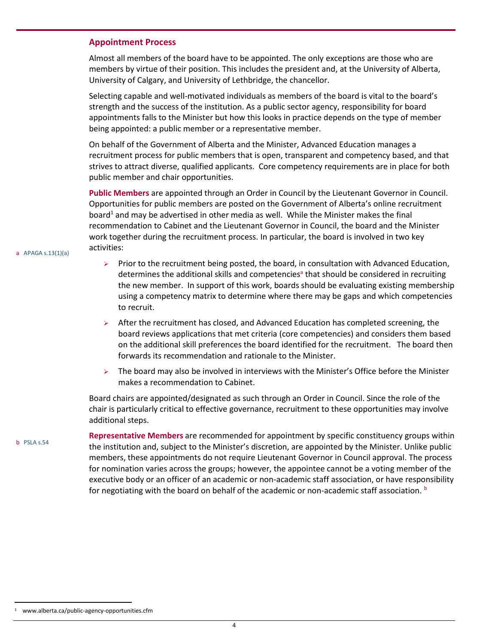#### <span id="page-7-0"></span>**Appointment Process**

Almost all members of the board have to be appointed. The only exceptions are those who are members by virtue of their position. This includes the president and, at the University of Alberta, University of Calgary, and University of Lethbridge, the chancellor.

Selecting capable and well-motivated individuals as members of the board is vital to the board's strength and the success of the institution. As a public sector agency, responsibility for board appointments falls to the Minister but how this looks in practice depends on the type of member being appointed: a public member or a representative member.

On behalf of the Government of Alberta and the Minister, Advanced Education manages a recruitment process for public members that is open, transparent and competency based, and that strives to attract diverse, qualified applicants. Core competency requirements are in place for both public member and chair opportunities.

**Public Members** are appointed through an Order in Council by the Lieutenant Governor in Council. Opportunities for public members are posted on the Government of Alberta's online recruitment board<sup>1</sup> and may be advertised in other media as well. While the Minister makes the final recommendation to Cabinet and the Lieutenant Governor in Council, the board and the Minister work together during the recruitment process. In particular, the board is involved in two key activities:

- Prior to the recruitment being posted, the board, in consultation with Advanced Education, determines the additional skills and competencies<sup>a</sup> that should be considered in recruiting the new member. In support of this work, boards should be evaluating existing membership using a competency matrix to determine where there may be gaps and which competencies to recruit.
- $\triangleright$  After the recruitment has closed, and Advanced Education has completed screening, the board reviews applications that met criteria (core competencies) and considers them based on the additional skill preferences the board identified for the recruitment. The board then forwards its recommendation and rationale to the Minister.
- The board may also be involved in interviews with the Minister's Office before the Minister makes a recommendation to Cabinet.

Board chairs are appointed/designated as such through an Order in Council. Since the role of the chair is particularly critical to effective governance, recruitment to these opportunities may involve additional steps.

**Representative Members** are recommended for appointment by specific constituency groups within the institution and, subject to the Minister's discretion, are appointed by the Minister. Unlike public members, these appointments do not require Lieutenant Governor in Council approval. The process for nomination varies across the groups; however, the appointee cannot be a voting member of the executive body or an officer of an academic or non-academic staff association, or have responsibility for negotiating with the board on behalf of the academic or non-academic staff association.  $b$ 

a APAGA s.13(1)(a)

l

b PSLA s.54

<sup>1</sup> www.alberta.ca/public-agency-opportunities.cfm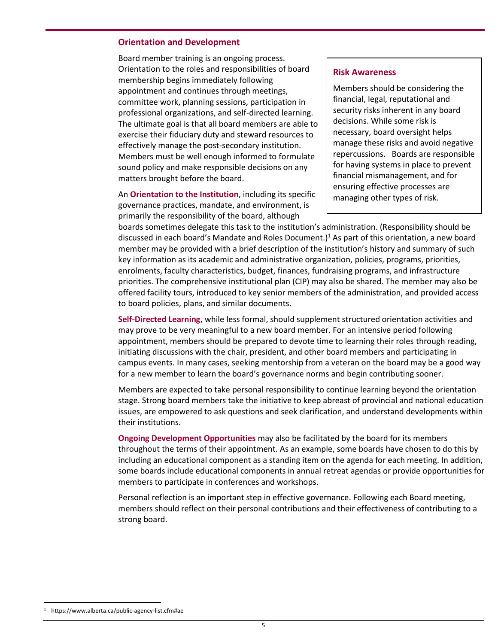#### <span id="page-8-0"></span>**Orientation and Development**

Board member training is an ongoing process. Orientation to the roles and responsibilities of board membership begins immediately following appointment and continues through meetings, committee work, planning sessions, participation in professional organizations, and self-directed learning. The ultimate goal is that all board members are able to exercise their fiduciary duty and steward resources to effectively manage the post-secondary institution. Members must be well enough informed to formulate sound policy and make responsible decisions on any matters brought before the board.

An **Orientation to the Institution**, including its specific governance practices, mandate, and environment, is primarily the responsibility of the board, although

#### **Risk Awareness**

Members should be considering the financial, legal, reputational and security risks inherent in any board decisions. While some risk is necessary, board oversight helps manage these risks and avoid negative repercussions. Boards are responsible for having systems in place to prevent financial mismanagement, and for ensuring effective processes are managing other types of risk.

boards sometimes delegate this task to the institution's administration. (Responsibility should be discussed in each board's Mandate and Roles Document.)<sup>1</sup> As part of this orientation, a new board member may be provided with a brief description of the institution's history and summary of such key information as its academic and administrative organization, policies, programs, priorities, enrolments, faculty characteristics, budget, finances, fundraising programs, and infrastructure priorities. The comprehensive institutional plan (CIP) may also be shared. The member may also be offered facility tours, introduced to key senior members of the administration, and provided access to board policies, plans, and similar documents.

**Self-Directed Learning**, while less formal, should supplement structured orientation activities and may prove to be very meaningful to a new board member. For an intensive period following appointment, members should be prepared to devote time to learning their roles through reading, initiating discussions with the chair, president, and other board members and participating in campus events. In many cases, seeking mentorship from a veteran on the board may be a good way for a new member to learn the board's governance norms and begin contributing sooner.

Members are expected to take personal responsibility to continue learning beyond the orientation stage. Strong board members take the initiative to keep abreast of provincial and national education issues, are empowered to ask questions and seek clarification, and understand developments within their institutions.

**Ongoing Development Opportunities** may also be facilitated by the board for its members throughout the terms of their appointment. As an example, some boards have chosen to do this by including an educational component as a standing item on the agenda for each meeting. In addition, some boards include educational components in annual retreat agendas or provide opportunities for members to participate in conferences and workshops.

Personal reflection is an important step in effective governance. Following each Board meeting, members should reflect on their personal contributions and their effectiveness of contributing to a strong board.

l

<sup>1</sup> https://www.alberta.ca/public-agency-list.cfm#ae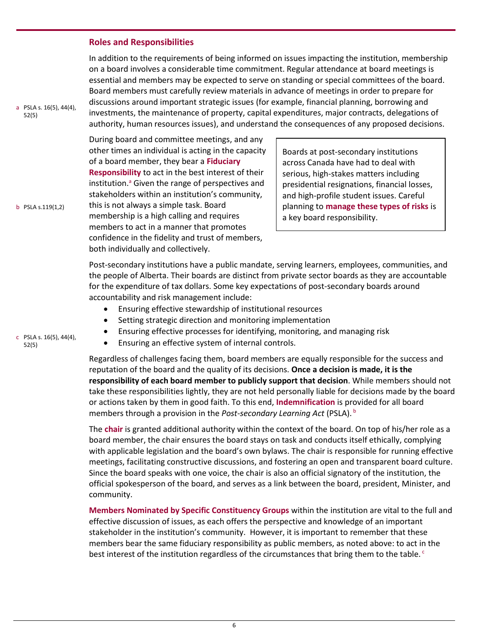#### <span id="page-9-0"></span>**Roles and Responsibilities**

In addition to the requirements of being informed on issues impacting the institution, membership on a board involves a considerable time commitment. Regular attendance at board meetings is essential and members may be expected to serve on standing or special committees of the board. Board members must carefully review materials in advance of meetings in order to prepare for discussions around important strategic issues (for example, financial planning, borrowing and investments, the maintenance of property, capital expenditures, major contracts, delegations of authority, human resources issues), and understand the consequences of any proposed decisions.

During board and committee meetings, and any other times an individual is acting in the capacity of a board member, they bear a **Fiduciary Responsibility** to act in the best interest of their institution.<sup>a</sup> Given the range of perspectives and stakeholders within an institution's community, this is not always a simple task. Board membership is a high calling and requires members to act in a manner that promotes confidence in the fidelity and trust of members, both individually and collectively.

Boards at post-secondary institutions across Canada have had to deal with serious, high-stakes matters including presidential resignations, financial losses, and high-profile student issues. Careful planning to **manage these types of risks** is a key board responsibility.

Post-secondary institutions have a public mandate, serving learners, employees, communities, and the people of Alberta. Their boards are distinct from private sector boards as they are accountable for the expenditure of tax dollars. Some key expectations of post-secondary boards around accountability and risk management include:

- Ensuring effective stewardship of institutional resources
- Setting strategic direction and monitoring implementation
- Ensuring effective processes for identifying, monitoring, and managing risk
- Ensuring an effective system of internal controls.

Regardless of challenges facing them, board members are equally responsible for the success and reputation of the board and the quality of its decisions. **Once a decision is made, it is the responsibility of each board member to publicly support that decision**. While members should not take these responsibilities lightly, they are not held personally liable for decisions made by the board or actions taken by them in good faith. To this end, **Indemnification** is provided for all board members through a provision in the *Post-secondary Learning Act* (PSLA). <sup>b</sup>

The **chair** is granted additional authority within the context of the board. On top of his/her role as a board member, the chair ensures the board stays on task and conducts itself ethically, complying with applicable legislation and the board's own bylaws. The chair is responsible for running effective meetings, facilitating constructive discussions, and fostering an open and transparent board culture. Since the board speaks with one voice, the chair is also an official signatory of the institution, the official spokesperson of the board, and serves as a link between the board, president, Minister, and community.

**Members Nominated by Specific Constituency Groups** within the institution are vital to the full and effective discussion of issues, as each offers the perspective and knowledge of an important stakeholder in the institution's community. However, it is important to remember that these members bear the same fiduciary responsibility as public members, as noted above: to act in the best interest of the institution regardless of the circumstances that bring them to the table.  $\circ$ 

c PSLA s. 16(5), 44(4), 52(5)

a PSLA s. 16(5), 44(4),

b PSLA s.119(1,2)

52(5)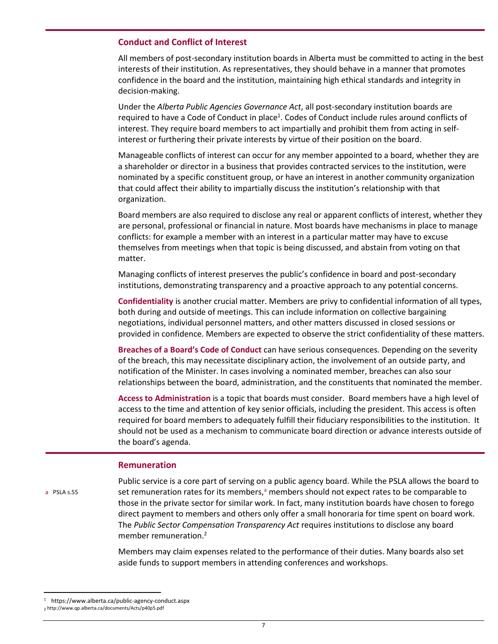#### <span id="page-10-0"></span>**Conduct and Conflict of Interest**

All members of post-secondary institution boards in Alberta must be committed to acting in the best interests of their institution. As representatives, they should behave in a manner that promotes confidence in the board and the institution, maintaining high ethical standards and integrity in decision-making.

Under the *Alberta Public Agencies Governance Act*, all post-secondary institution boards are required to have a Code of Conduct in place<sup>1</sup>. Codes of Conduct include rules around conflicts of interest. They require board members to act impartially and prohibit them from acting in selfinterest or furthering their private interests by virtue of their position on the board.

Manageable conflicts of interest can occur for any member appointed to a board, whether they are a shareholder or director in a business that provides contracted services to the institution, were nominated by a specific constituent group, or have an interest in another community organization that could affect their ability to impartially discuss the institution's relationship with that organization.

Board members are also required to disclose any real or apparent conflicts of interest, whether they are personal, professional or financial in nature. Most boards have mechanisms in place to manage conflicts: for example a member with an interest in a particular matter may have to excuse themselves from meetings when that topic is being discussed, and abstain from voting on that matter.

Managing conflicts of interest preserves the public's confidence in board and post-secondary institutions, demonstrating transparency and a proactive approach to any potential concerns.

**Confidentiality** is another crucial matter. Members are privy to confidential information of all types, both during and outside of meetings. This can include information on collective bargaining negotiations, individual personnel matters, and other matters discussed in closed sessions or provided in confidence. Members are expected to observe the strict confidentiality of these matters.

**Breaches of a Board's Code of Conduct** can have serious consequences. Depending on the severity of the breach, this may necessitate disciplinary action, the involvement of an outside party, and notification of the Minister. In cases involving a nominated member, breaches can also sour relationships between the board, administration, and the constituents that nominated the member.

**Access to Administration** is a topic that boards must consider. Board members have a high level of access to the time and attention of key senior officials, including the president. This access is often required for board members to adequately fulfill their fiduciary responsibilities to the institution. It should not be used as a mechanism to communicate board direction or advance interests outside of the board's agenda.

#### <span id="page-10-1"></span>**Remuneration**

a PSLA s.55

 $\overline{\phantom{a}}$ 

Public service is a core part of serving on a public agency board. While the PSLA allows the board to set remuneration rates for its members, $a$  members should not expect rates to be comparable to those in the private sector for similar work. In fact, many institution boards have chosen to forego direct payment to members and others only offer a small honoraria for time spent on board work. The *Public Sector Compensation Transparency Act* requires institutions to disclose any board member remuneration.<sup>2</sup>

Members may claim expenses related to the performance of their duties. Many boards also set aside funds to support members in attending conferences and workshops.

https://www.alberta.ca/public-agency-conduct.aspx 2 http://www.qp.alberta.ca/documents/Acts/p40p5.pdf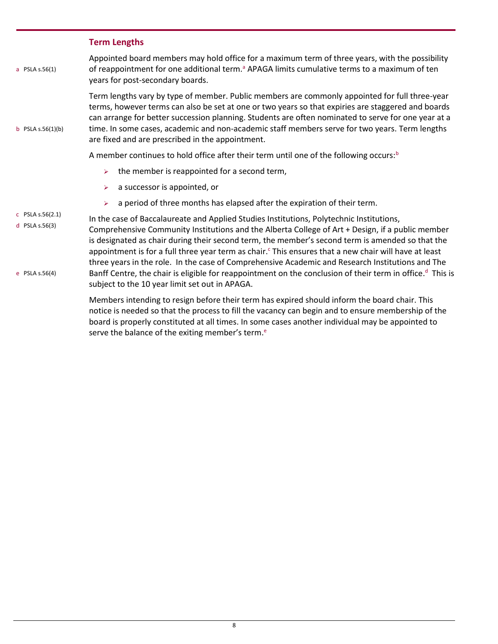## <span id="page-11-0"></span>**Term Lengths**

| a PSLA s.56(1)                     | Appointed board members may hold office for a maximum term of three years, with the possibility<br>of reappointment for one additional term. <sup>a</sup> APAGA limits cumulative terms to a maximum of ten<br>years for post-secondary boards.                                                                                                                                                                                                                                                                                                                                             |
|------------------------------------|---------------------------------------------------------------------------------------------------------------------------------------------------------------------------------------------------------------------------------------------------------------------------------------------------------------------------------------------------------------------------------------------------------------------------------------------------------------------------------------------------------------------------------------------------------------------------------------------|
| b PSLA $s.56(1)(b)$                | Term lengths vary by type of member. Public members are commonly appointed for full three-year<br>terms, however terms can also be set at one or two years so that expiries are staggered and boards<br>can arrange for better succession planning. Students are often nominated to serve for one year at a<br>time. In some cases, academic and non-academic staff members serve for two years. Term lengths<br>are fixed and are prescribed in the appointment.                                                                                                                           |
|                                    | A member continues to hold office after their term until one of the following occurs: $b$                                                                                                                                                                                                                                                                                                                                                                                                                                                                                                   |
|                                    | the member is reappointed for a second term,<br>$\blacktriangleright$                                                                                                                                                                                                                                                                                                                                                                                                                                                                                                                       |
|                                    | a successor is appointed, or<br>➤                                                                                                                                                                                                                                                                                                                                                                                                                                                                                                                                                           |
|                                    | a period of three months has elapsed after the expiration of their term.<br>$\blacktriangleright$                                                                                                                                                                                                                                                                                                                                                                                                                                                                                           |
| c PSLA $s.56(2.1)$                 | In the case of Baccalaureate and Applied Studies Institutions, Polytechnic Institutions,                                                                                                                                                                                                                                                                                                                                                                                                                                                                                                    |
| d PSLA $s.56(3)$<br>e PSLA s.56(4) | Comprehensive Community Institutions and the Alberta College of Art + Design, if a public member<br>is designated as chair during their second term, the member's second term is amended so that the<br>appointment is for a full three year term as chair. This ensures that a new chair will have at least<br>three years in the role. In the case of Comprehensive Academic and Research Institutions and The<br>Banff Centre, the chair is eligible for reappointment on the conclusion of their term in office. <sup>d</sup> This is<br>subject to the 10 year limit set out in APAGA. |
|                                    | Members intending to resign before their term has expired should inform the board chair. This                                                                                                                                                                                                                                                                                                                                                                                                                                                                                               |
|                                    | a a tha an ainm an tha mhan an an an an All mhan an an an an an tha tha an ainm an an an ainm an hair an Amha                                                                                                                                                                                                                                                                                                                                                                                                                                                                               |

notice is needed so that the process to fill the vacancy can begin and to ensure membership of the board is properly constituted at all times. In some cases another individual may be appointed to serve the balance of the exiting member's term.<sup>e</sup>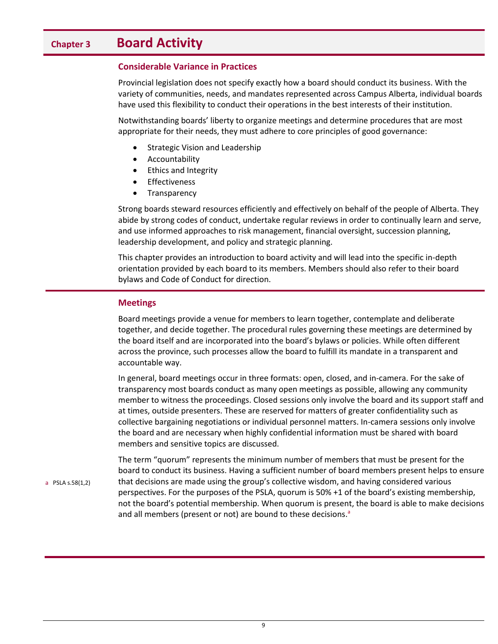## <span id="page-12-0"></span>**Chapter 3 Board Activity**

#### <span id="page-12-1"></span>**Considerable Variance in Practices**

Provincial legislation does not specify exactly how a board should conduct its business. With the variety of communities, needs, and mandates represented across Campus Alberta, individual boards have used this flexibility to conduct their operations in the best interests of their institution.

Notwithstanding boards' liberty to organize meetings and determine procedures that are most appropriate for their needs, they must adhere to core principles of good governance:

- Strategic Vision and Leadership
- Accountability
- Ethics and Integrity
- Effectiveness
- Transparency

Strong boards steward resources efficiently and effectively on behalf of the people of Alberta. They abide by strong codes of conduct, undertake regular reviews in order to continually learn and serve, and use informed approaches to risk management, financial oversight, succession planning, leadership development, and policy and strategic planning.

This chapter provides an introduction to board activity and will lead into the specific in-depth orientation provided by each board to its members. Members should also refer to their board bylaws and Code of Conduct for direction.

#### <span id="page-12-2"></span>**Meetings**

Board meetings provide a venue for members to learn together, contemplate and deliberate together, and decide together. The procedural rules governing these meetings are determined by the board itself and are incorporated into the board's bylaws or policies. While often different across the province, such processes allow the board to fulfill its mandate in a transparent and accountable way.

In general, board meetings occur in three formats: open, closed, and in-camera. For the sake of transparency most boards conduct as many open meetings as possible, allowing any community member to witness the proceedings. Closed sessions only involve the board and its support staff and at times, outside presenters. These are reserved for matters of greater confidentiality such as collective bargaining negotiations or individual personnel matters. In-camera sessions only involve the board and are necessary when highly confidential information must be shared with board members and sensitive topics are discussed.

The term "quorum" represents the minimum number of members that must be present for the board to conduct its business. Having a sufficient number of board members present helps to ensure that decisions are made using the group's collective wisdom, and having considered various perspectives. For the purposes of the PSLA, quorum is 50% +1 of the board's existing membership, not the board's potential membership. When quorum is present, the board is able to make decisions and all members (present or not) are bound to these decisions.<sup>a</sup>

a PSLA s.58(1,2)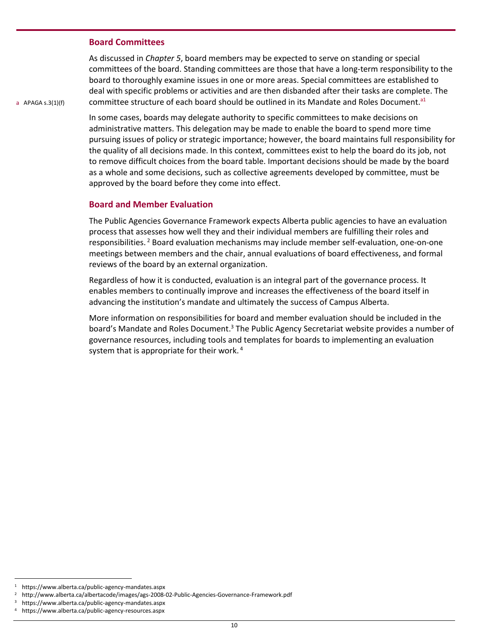#### <span id="page-13-0"></span>**Board Committees**

As discussed in *Chapter 5*, board members may be expected to serve on standing or special committees of the board. Standing committees are those that have a long-term responsibility to the board to thoroughly examine issues in one or more areas. Special committees are established to deal with specific problems or activities and are then disbanded after their tasks are complete. The committee structure of each board should be outlined in its Mandate and Roles Document.<sup>a1</sup>

a APAGA s.3(1)(f)

In some cases, boards may delegate authority to specific committees to make decisions on administrative matters. This delegation may be made to enable the board to spend more time pursuing issues of policy or strategic importance; however, the board maintains full responsibility for the quality of all decisions made. In this context, committees exist to help the board do its job, not to remove difficult choices from the board table. Important decisions should be made by the board as a whole and some decisions, such as collective agreements developed by committee, must be approved by the board before they come into effect.

#### <span id="page-13-1"></span>**Board and Member Evaluation**

The Public Agencies Governance Framework expects Alberta public agencies to have an evaluation process that assesses how well they and their individual members are fulfilling their roles and responsibilities.<sup>2</sup> Board evaluation mechanisms may include member self-evaluation, one-on-one meetings between members and the chair, annual evaluations of board effectiveness, and formal reviews of the board by an external organization.

Regardless of how it is conducted, evaluation is an integral part of the governance process. It enables members to continually improve and increases the effectiveness of the board itself in advancing the institution's mandate and ultimately the success of Campus Alberta.

More information on responsibilities for board and member evaluation should be included in the board's Mandate and Roles Document.<sup>3</sup> The Public Agency Secretariat website provides a number of governance resources, including tools and templates for boards to implementing an evaluation system that is appropriate for their work.<sup>4</sup>

l

<sup>1</sup> https://www.alberta.ca/public-agency-mandates.aspx

<sup>2</sup> http://www.alberta.ca/albertacode/images/ags-2008-02-Public-Agencies-Governance-Framework.pdf

<sup>3</sup> https://www.alberta.ca/public-agency-mandates.aspx

<sup>4</sup> https://www.alberta.ca/public-agency-resources.aspx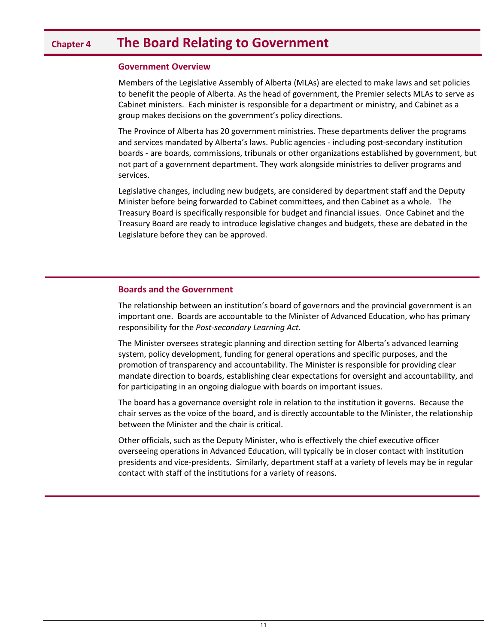## <span id="page-14-0"></span>**Chapter 4 The Board Relating to Government**

#### <span id="page-14-1"></span>**Government Overview**

Members of the Legislative Assembly of Alberta (MLAs) are elected to make laws and set policies to benefit the people of Alberta. As the head of government, the Premier selects MLAs to serve as Cabinet ministers. Each minister is responsible for a department or ministry, and Cabinet as a group makes decisions on the government's policy directions.

The Province of Alberta has 20 government ministries. These departments deliver the programs and services mandated by Alberta's laws. Public agencies - including post-secondary institution boards - are boards, commissions, tribunals or other organizations established by government, but not part of a government department. They work alongside ministries to deliver programs and services.

Legislative changes, including new budgets, are considered by department staff and the Deputy Minister before being forwarded to Cabinet committees, and then Cabinet as a whole. The Treasury Board is specifically responsible for budget and financial issues. Once Cabinet and the Treasury Board are ready to introduce legislative changes and budgets, these are debated in the Legislature before they can be approved.

#### **Boards and the Government**

The relationship between an institution's board of governors and the provincial government is an important one. Boards are accountable to the Minister of Advanced Education, who has primary responsibility for the *Post-secondary Learning Act.*

The Minister oversees strategic planning and direction setting for Alberta's advanced learning system, policy development, funding for general operations and specific purposes, and the promotion of transparency and accountability. The Minister is responsible for providing clear mandate direction to boards, establishing clear expectations for oversight and accountability, and for participating in an ongoing dialogue with boards on important issues.

The board has a governance oversight role in relation to the institution it governs. Because the chair serves as the voice of the board, and is directly accountable to the Minister, the relationship between the Minister and the chair is critical.

Other officials, such as the Deputy Minister, who is effectively the chief executive officer overseeing operations in Advanced Education, will typically be in closer contact with institution presidents and vice-presidents. Similarly, department staff at a variety of levels may be in regular contact with staff of the institutions for a variety of reasons.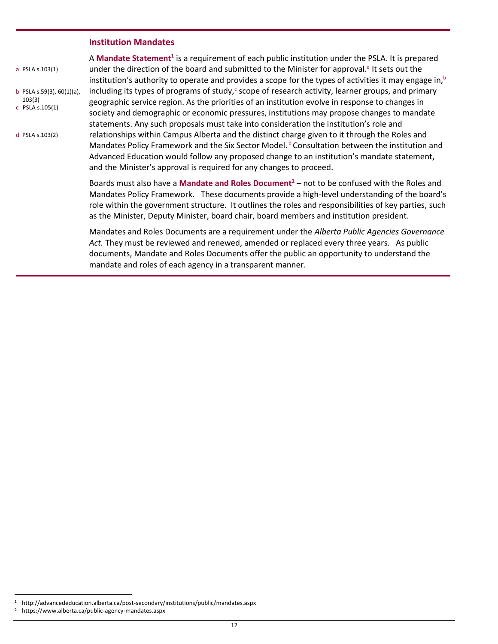#### <span id="page-15-0"></span>**Institution Mandates**

| a PSLA s.103(1)                                             | A Mandate Statement <sup>1</sup> is a requirement of each public institution under the PSLA. It is prepared<br>under the direction of the board and submitted to the Minister for approval. <sup>a</sup> It sets out the<br>institution's authority to operate and provides a scope for the types of activities it may engage in, $b$                                                                             |  |  |  |  |
|-------------------------------------------------------------|-------------------------------------------------------------------------------------------------------------------------------------------------------------------------------------------------------------------------------------------------------------------------------------------------------------------------------------------------------------------------------------------------------------------|--|--|--|--|
| b PSLA s.59(3), $60(1)(a)$ ,<br>103(3)<br>$C$ PSLA s.105(1) | including its types of programs of study, <sup>c</sup> scope of research activity, learner groups, and primary<br>geographic service region. As the priorities of an institution evolve in response to changes in<br>society and demographic or economic pressures, institutions may propose changes to mandate<br>statements. Any such proposals must take into consideration the institution's role and         |  |  |  |  |
| d PSLA s.103(2)                                             | relationships within Campus Alberta and the distinct charge given to it through the Roles and<br>Mandates Policy Framework and the Six Sector Model. <sup>d</sup> Consultation between the institution and<br>Advanced Education would follow any proposed change to an institution's mandate statement,<br>and the Minister's approval is required for any changes to proceed.                                   |  |  |  |  |
|                                                             | Boards must also have a <b>Mandate and Roles Document<sup>2</sup></b> – not to be confused with the Roles and<br>Mandates Policy Framework. These documents provide a high-level understanding of the board's<br>role within the government structure. It outlines the roles and responsibilities of key parties, such<br>as the Minister, Deputy Minister, board chair, board members and institution president. |  |  |  |  |
|                                                             |                                                                                                                                                                                                                                                                                                                                                                                                                   |  |  |  |  |

Mandates and Roles Documents are a requirement under the *Alberta Public Agencies Governance Act.* They must be reviewed and renewed, amended or replaced every three years. As public documents, Mandate and Roles Documents offer the public an opportunity to understand the mandate and roles of each agency in a transparent manner.

 $\overline{a}$ 

<sup>1</sup> http://advancededucation.alberta.ca/post-secondary/institutions/public/mandates.aspx

<sup>2</sup> https://www.alberta.ca/public-agency-mandates.aspx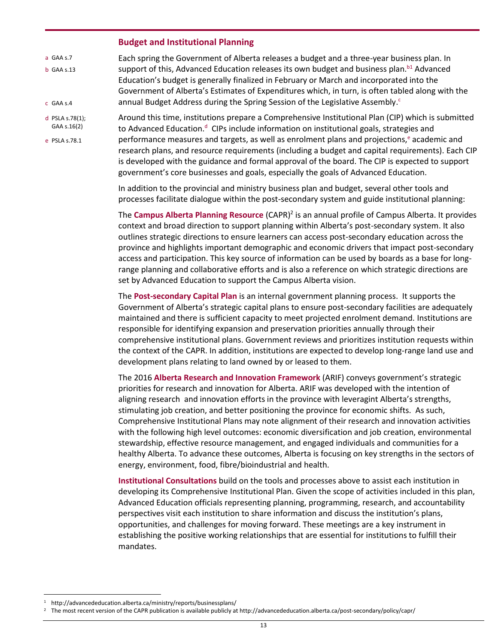#### <span id="page-16-0"></span>**Budget and Institutional Planning**

- a GAA s.7 b GAA s.13 c GAA s.4 Each spring the Government of Alberta releases a budget and a three-year business plan. In support of this, Advanced Education releases its own budget and business plan. $b<sup>1</sup>$  Advanced Education's budget is generally finalized in February or March and incorporated into the Government of Alberta's Estimates of Expenditures which, in turn, is often tabled along with the annual Budget Address during the Spring Session of the Legislative Assembly.<sup>c</sup>
- d PSLA s.78(1); GAA s.16(2)
- e PSLA s.78.1

Around this time, institutions prepare a Comprehensive Institutional Plan (CIP) which is submitted to Advanced Education.<sup>d</sup> CIPs include information on institutional goals, strategies and performance measures and targets, as well as enrolment plans and projections, $e$  academic and research plans, and resource requirements (including a budget and capital requirements). Each CIP is developed with the guidance and formal approval of the board. The CIP is expected to support government's core businesses and goals, especially the goals of Advanced Education.

In addition to the provincial and ministry business plan and budget, several other tools and processes facilitate dialogue within the post-secondary system and guide institutional planning:

The **Campus Alberta Planning Resource** (CAPR)<sup>2</sup> is an annual profile of Campus Alberta. It provides context and broad direction to support planning within Alberta's post-secondary system. It also outlines strategic directions to ensure learners can access post-secondary education across the province and highlights important demographic and economic drivers that impact post-secondary access and participation. This key source of information can be used by boards as a base for longrange planning and collaborative efforts and is also a reference on which strategic directions are set by Advanced Education to support the Campus Alberta vision.

The **Post-secondary Capital Plan** is an internal government planning process. It supports the Government of Alberta's strategic capital plans to ensure post-secondary facilities are adequately maintained and there is sufficient capacity to meet projected enrolment demand. Institutions are responsible for identifying expansion and preservation priorities annually through their comprehensive institutional plans. Government reviews and prioritizes institution requests within the context of the CAPR. In addition, institutions are expected to develop long-range land use and development plans relating to land owned by or leased to them.

The 2016 **Alberta Research and Innovation Framework** (ARIF) conveys government's strategic priorities for research and innovation for Alberta. ARIF was developed with the intention of aligning research and innovation efforts in the province with leveragint Alberta's strengths, stimulating job creation, and better positioning the province for economic shifts. As such, Comprehensive Institutional Plans may note alignment of their research and innovation activities with the following high level outcomes: economic diversification and job creation, environmental stewardship, effective resource management, and engaged individuals and communities for a healthy Alberta. To advance these outcomes, Alberta is focusing on key strengths in the sectors of energy, environment, food, fibre/bioindustrial and health.

**Institutional Consultations** build on the tools and processes above to assist each institution in developing its Comprehensive Institutional Plan. Given the scope of activities included in this plan, Advanced Education officials representing planning, programming, research, and accountability perspectives visit each institution to share information and discuss the institution's plans, opportunities, and challenges for moving forward. These meetings are a key instrument in establishing the positive working relationships that are essential for institutions to fulfill their mandates.

 $\overline{a}$ 

<sup>1</sup> http://advancededucation.alberta.ca/ministry/reports/businessplans/

<sup>&</sup>lt;sup>2</sup> The most recent version of the CAPR publication is available publicly at http://advancededucation.alberta.ca/post-secondary/policy/capr/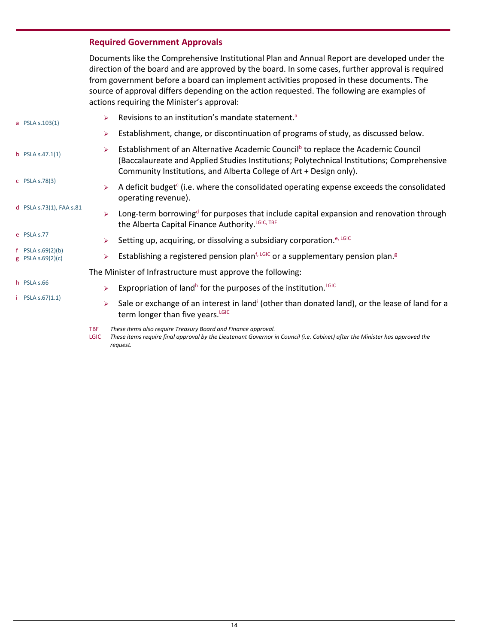## <span id="page-17-0"></span>**Required Government Approvals**

Documents like the Comprehensive Institutional Plan and Annual Report are developed under the direction of the board and are approved by the board. In some cases, further approval is required from government before a board can implement activities proposed in these documents. The source of approval differs depending on the action requested. The following are examples of actions requiring the Minister's approval:

| a PSLA s.103(1) |                                          | Revisions to an institution's mandate statement. <sup>a</sup><br>⋗                                                                                                                                                                                                     |
|-----------------|------------------------------------------|------------------------------------------------------------------------------------------------------------------------------------------------------------------------------------------------------------------------------------------------------------------------|
|                 |                                          | Establishment, change, or discontinuation of programs of study, as discussed below.<br>➤                                                                                                                                                                               |
|                 | b PSLA $s.47.1(1)$                       | Establishment of an Alternative Academic Council <sup>b</sup> to replace the Academic Council<br>➤<br>(Baccalaureate and Applied Studies Institutions; Polytechnical Institutions; Comprehensive<br>Community Institutions, and Alberta College of Art + Design only). |
|                 | $C$ PSLA s.78(3)                         | A deficit budget $\epsilon$ (i.e. where the consolidated operating expense exceeds the consolidated<br>➤<br>operating revenue).                                                                                                                                        |
|                 | d PSLA s.73(1), FAA s.81                 | Long-term borrowing <sup>d</sup> for purposes that include capital expansion and renovation through<br>$\blacktriangleright$<br>the Alberta Capital Finance Authority. LGIC, TBF                                                                                       |
|                 | e PSLA s.77                              | Setting up, acquiring, or dissolving a subsidiary corporation. <sup>e, LGIC</sup><br>➤                                                                                                                                                                                 |
|                 | f $PSLA S.69(2)(b)$<br>g PSLA s.69(2)(c) | Establishing a registered pension plan <sup>f, LGIC</sup> or a supplementary pension plan. <sup>8</sup><br>➤                                                                                                                                                           |
|                 |                                          | The Minister of Infrastructure must approve the following:                                                                                                                                                                                                             |
|                 | h PSLA s.66                              | Expropriation of land <sup>h</sup> for the purposes of the institution. <sup>LGIC</sup><br>⋗                                                                                                                                                                           |
|                 | $i$ PSLA s.67(1.1)                       | Sale or exchange of an interest in land <sup>i</sup> (other than donated land), or the lease of land for a<br>➤<br>term longer than five years. LGIC                                                                                                                   |
|                 |                                          | These items also require Treasury Board and Finance approval.<br><b>TBF</b><br>These theme are the first supercultive that the moment Common to Comeil (i.e. Cabinett affect the Michael backmanned the                                                                |

LGIC *These items require final approval by the Lieutenant Governor in Council (i.e. Cabinet) after the Minister has approved the request.*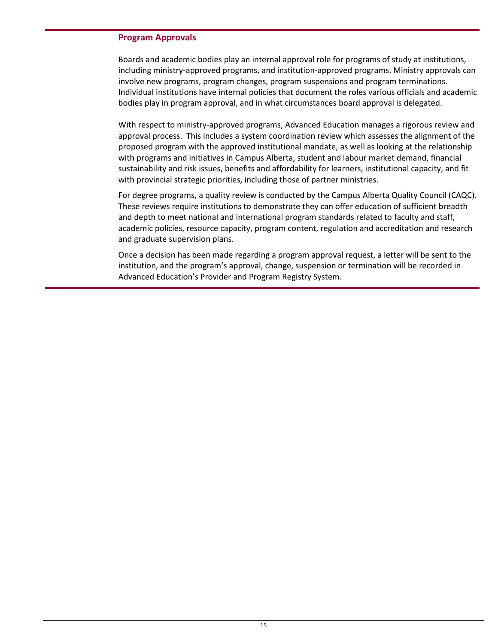#### <span id="page-18-0"></span>**Program Approvals**

Boards and academic bodies play an internal approval role for programs of study at institutions, including ministry-approved programs, and institution-approved programs. Ministry approvals can involve new programs, program changes, program suspensions and program terminations. Individual institutions have internal policies that document the roles various officials and academic bodies play in program approval, and in what circumstances board approval is delegated.

With respect to ministry-approved programs, Advanced Education manages a rigorous review and approval process. This includes a system coordination review which assesses the alignment of the proposed program with the approved institutional mandate, as well as looking at the relationship with programs and initiatives in Campus Alberta, student and labour market demand, financial sustainability and risk issues, benefits and affordability for learners, institutional capacity, and fit with provincial strategic priorities, including those of partner ministries.

For degree programs, a quality review is conducted by the Campus Alberta Quality Council (CAQC). These reviews require institutions to demonstrate they can offer education of sufficient breadth and depth to meet national and international program standards related to faculty and staff, academic policies, resource capacity, program content, regulation and accreditation and research and graduate supervision plans.

Once a decision has been made regarding a program approval request, a letter will be sent to the institution, and the program's approval, change, suspension or termination will be recorded in Advanced Education's Provider and Program Registry System.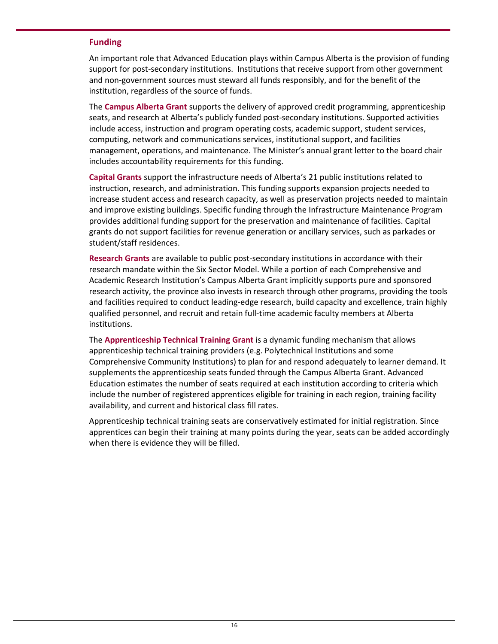#### <span id="page-19-0"></span>**Funding**

An important role that Advanced Education plays within Campus Alberta is the provision of funding support for post-secondary institutions. Institutions that receive support from other government and non-government sources must steward all funds responsibly, and for the benefit of the institution, regardless of the source of funds.

The **Campus Alberta Grant** supports the delivery of approved credit programming, apprenticeship seats, and research at Alberta's publicly funded post-secondary institutions. Supported activities include access, instruction and program operating costs, academic support, student services, computing, network and communications services, institutional support, and facilities management, operations, and maintenance. The Minister's annual grant letter to the board chair includes accountability requirements for this funding.

**Capital Grants** support the infrastructure needs of Alberta's 21 public institutions related to instruction, research, and administration. This funding supports expansion projects needed to increase student access and research capacity, as well as preservation projects needed to maintain and improve existing buildings. Specific funding through the Infrastructure Maintenance Program provides additional funding support for the preservation and maintenance of facilities. Capital grants do not support facilities for revenue generation or ancillary services, such as parkades or student/staff residences.

**Research Grants** are available to public post-secondary institutions in accordance with their research mandate within the Six Sector Model. While a portion of each Comprehensive and Academic Research Institution's Campus Alberta Grant implicitly supports pure and sponsored research activity, the province also invests in research through other programs, providing the tools and facilities required to conduct leading-edge research, build capacity and excellence, train highly qualified personnel, and recruit and retain full-time academic faculty members at Alberta institutions.

The **Apprenticeship Technical Training Grant** is a dynamic funding mechanism that allows apprenticeship technical training providers (e.g. Polytechnical Institutions and some Comprehensive Community Institutions) to plan for and respond adequately to learner demand. It supplements the apprenticeship seats funded through the Campus Alberta Grant. Advanced Education estimates the number of seats required at each institution according to criteria which include the number of registered apprentices eligible for training in each region, training facility availability, and current and historical class fill rates.

Apprenticeship technical training seats are conservatively estimated for initial registration. Since apprentices can begin their training at many points during the year, seats can be added accordingly when there is evidence they will be filled.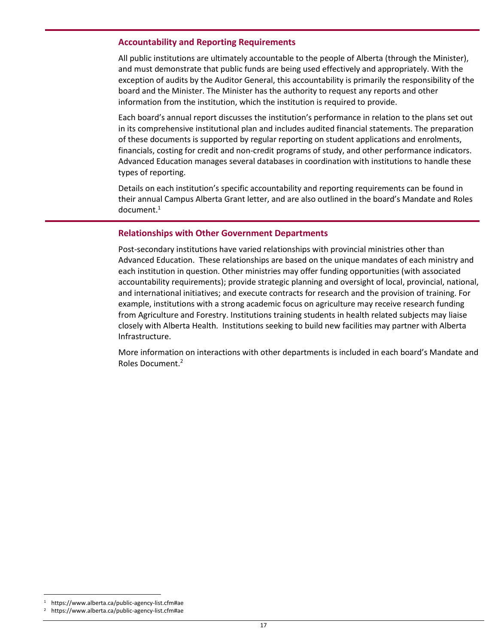#### <span id="page-20-0"></span>**Accountability and Reporting Requirements**

All public institutions are ultimately accountable to the people of Alberta (through the Minister), and must demonstrate that public funds are being used effectively and appropriately. With the exception of audits by the Auditor General, this accountability is primarily the responsibility of the board and the Minister. The Minister has the authority to request any reports and other information from the institution, which the institution is required to provide.

Each board's annual report discusses the institution's performance in relation to the plans set out in its comprehensive institutional plan and includes audited financial statements. The preparation of these documents is supported by regular reporting on student applications and enrolments, financials, costing for credit and non-credit programs of study, and other performance indicators. Advanced Education manages several databases in coordination with institutions to handle these types of reporting.

Details on each institution's specific accountability and reporting requirements can be found in their annual Campus Alberta Grant letter, and are also outlined in the board's Mandate and Roles  $document.<sup>1</sup>$ 

#### <span id="page-20-1"></span>**Relationships with Other Government Departments**

Post-secondary institutions have varied relationships with provincial ministries other than Advanced Education. These relationships are based on the unique mandates of each ministry and each institution in question. Other ministries may offer funding opportunities (with associated accountability requirements); provide strategic planning and oversight of local, provincial, national, and international initiatives; and execute contracts for research and the provision of training. For example, institutions with a strong academic focus on agriculture may receive research funding from Agriculture and Forestry. Institutions training students in health related subjects may liaise closely with Alberta Health. Institutions seeking to build new facilities may partner with Alberta Infrastructure.

More information on interactions with other departments is included in each board's Mandate and Roles Document.<sup>2</sup>

 $\overline{a}$ 

<sup>1</sup> https://www.alberta.ca/public-agency-list.cfm#ae

<sup>2</sup> https://www.alberta.ca/public-agency-list.cfm#ae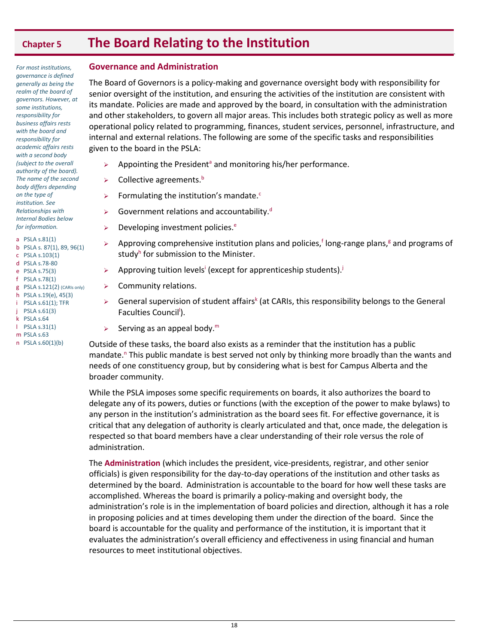# <span id="page-21-0"></span>**Chapter 5 The Board Relating to the Institution**

*For most institutions, governance is defined generally as being the realm of the board of governors. However, at some institutions, responsibility for business affairs rests with the board and responsibility for academic affairs rests with a second body (subject to the overall authority of the board). The name of the second body differs depending on the type of institution. See Relationships with Internal Bodies below* 

*for information.* a PSLA s.81(1) b PSLA s. 87(1), 89, 96(1) c PSLA s.103(1) d PSLA s.78-80 e PSLA s.75(3)

- f PSLA s.78(1)
- g PSLA s.121(2) (CARIs only) h PSLA s.19(e), 45(3)
- i PSLA s.61(1); TFR
- j PSLA s.61(3)
- k PSLA s.64
- l PSLA s.31(1)
- m PSLA s.63 n PSLA s.60(1)(b)

#### <span id="page-21-1"></span>**Governance and Administration**

The Board of Governors is a policy-making and governance oversight body with responsibility for senior oversight of the institution, and ensuring the activities of the institution are consistent with its mandate. Policies are made and approved by the board, in consultation with the administration and other stakeholders, to govern all major areas. This includes both strategic policy as well as more operational policy related to programming, finances, student services, personnel, infrastructure, and internal and external relations. The following are some of the specific tasks and responsibilities given to the board in the PSLA:

- $\triangleright$  Appointing the President<sup>a</sup> and monitoring his/her performance.
- $\triangleright$  Collective agreements.<sup>b</sup>
- $\triangleright$  Formulating the institution's mandate.<sup>c</sup>
- $\triangleright$  Government relations and accountability.<sup>d</sup>
- $\triangleright$  Developing investment policies.<sup>e</sup>
- $\triangleright$  Approving comprehensive institution plans and policies,<sup>f</sup> long-range plans,<sup>g</sup> and programs of study<sup>h</sup> for submission to the Minister.
- Approving tuition levels<sup>i</sup> (except for apprenticeship students).<sup>j</sup>
- $\triangleright$  Community relations.
- $\triangleright$  General supervision of student affairs<sup>k</sup> (at CARIs, this responsibility belongs to the General Faculties Council<sup>I</sup>).
- $\triangleright$  Serving as an appeal body.<sup>m</sup>

Outside of these tasks, the board also exists as a reminder that the institution has a public mandate.<sup>n</sup> This public mandate is best served not only by thinking more broadly than the wants and needs of one constituency group, but by considering what is best for Campus Alberta and the broader community.

While the PSLA imposes some specific requirements on boards, it also authorizes the board to delegate any of its powers, duties or functions (with the exception of the power to make bylaws) to any person in the institution's administration as the board sees fit. For effective governance, it is critical that any delegation of authority is clearly articulated and that, once made, the delegation is respected so that board members have a clear understanding of their role versus the role of administration.

The **Administration** (which includes the president, vice-presidents, registrar, and other senior officials) is given responsibility for the day-to-day operations of the institution and other tasks as determined by the board. Administration is accountable to the board for how well these tasks are accomplished. Whereas the board is primarily a policy-making and oversight body, the administration's role is in the implementation of board policies and direction, although it has a role in proposing policies and at times developing them under the direction of the board. Since the board is accountable for the quality and performance of the institution, it is important that it evaluates the administration's overall efficiency and effectiveness in using financial and human resources to meet institutional objectives.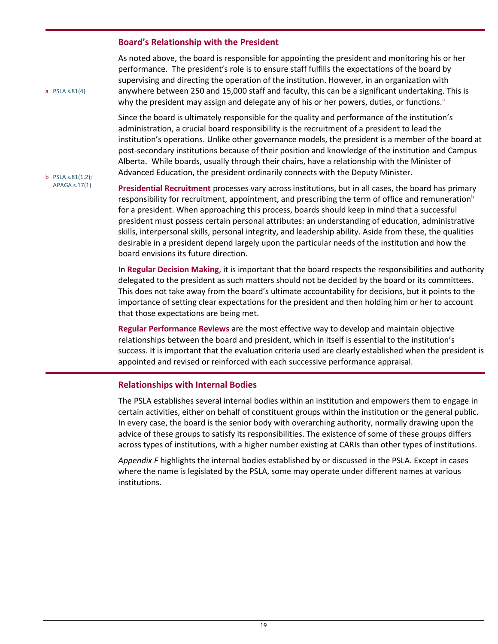#### <span id="page-22-0"></span>**Board's Relationship with the President**

As noted above, the board is responsible for appointing the president and monitoring his or her performance. The president's role is to ensure staff fulfills the expectations of the board by supervising and directing the operation of the institution. However, in an organization with anywhere between 250 and 15,000 staff and faculty, this can be a significant undertaking. This is why the president may assign and delegate any of his or her powers, duties, or functions.<sup>a</sup>

Since the board is ultimately responsible for the quality and performance of the institution's administration, a crucial board responsibility is the recruitment of a president to lead the institution's operations. Unlike other governance models, the president is a member of the board at post-secondary institutions because of their position and knowledge of the institution and Campus Alberta. While boards, usually through their chairs, have a relationship with the Minister of Advanced Education, the president ordinarily connects with the Deputy Minister.

#### b PSLA s.81(1,2); APAGA s.17(1)

a PSLA s.81(4)

**Presidential Recruitment** processes vary across institutions, but in all cases, the board has primary responsibility for recruitment, appointment, and prescribing the term of office and remuneration<sup>b</sup> for a president. When approaching this process, boards should keep in mind that a successful president must possess certain personal attributes: an understanding of education, administrative skills, interpersonal skills, personal integrity, and leadership ability. Aside from these, the qualities desirable in a president depend largely upon the particular needs of the institution and how the board envisions its future direction.

In **Regular Decision Making**, it is important that the board respects the responsibilities and authority delegated to the president as such matters should not be decided by the board or its committees. This does not take away from the board's ultimate accountability for decisions, but it points to the importance of setting clear expectations for the president and then holding him or her to account that those expectations are being met.

**Regular Performance Reviews** are the most effective way to develop and maintain objective relationships between the board and president, which in itself is essential to the institution's success. It is important that the evaluation criteria used are clearly established when the president is appointed and revised or reinforced with each successive performance appraisal.

#### <span id="page-22-1"></span>**Relationships with Internal Bodies**

The PSLA establishes several internal bodies within an institution and empowers them to engage in certain activities, either on behalf of constituent groups within the institution or the general public. In every case, the board is the senior body with overarching authority, normally drawing upon the advice of these groups to satisfy its responsibilities. The existence of some of these groups differs across types of institutions, with a higher number existing at CARIs than other types of institutions.

*Appendix F* highlights the internal bodies established by or discussed in the PSLA. Except in cases where the name is legislated by the PSLA, some may operate under different names at various institutions.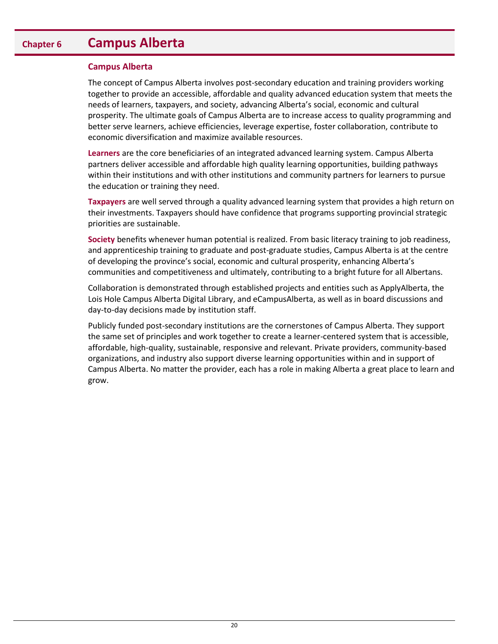## <span id="page-23-0"></span>**Chapter 6 Campus Alberta**

#### <span id="page-23-1"></span>**Campus Alberta**

The concept of Campus Alberta involves post-secondary education and training providers working together to provide an accessible, affordable and quality advanced education system that meets the needs of learners, taxpayers, and society, advancing Alberta's social, economic and cultural prosperity. The ultimate goals of Campus Alberta are to increase access to quality programming and better serve learners, achieve efficiencies, leverage expertise, foster collaboration, contribute to economic diversification and maximize available resources.

**Learners** are the core beneficiaries of an integrated advanced learning system. Campus Alberta partners deliver accessible and affordable high quality learning opportunities, building pathways within their institutions and with other institutions and community partners for learners to pursue the education or training they need.

**Taxpayers** are well served through a quality advanced learning system that provides a high return on their investments. Taxpayers should have confidence that programs supporting provincial strategic priorities are sustainable.

**Society** benefits whenever human potential is realized. From basic literacy training to job readiness, and apprenticeship training to graduate and post-graduate studies, Campus Alberta is at the centre of developing the province's social, economic and cultural prosperity, enhancing Alberta's communities and competitiveness and ultimately, contributing to a bright future for all Albertans.

Collaboration is demonstrated through established projects and entities such as ApplyAlberta, the Lois Hole Campus Alberta Digital Library, and eCampusAlberta, as well as in board discussions and day-to-day decisions made by institution staff.

Publicly funded post-secondary institutions are the cornerstones of Campus Alberta. They support the same set of principles and work together to create a learner-centered system that is accessible, affordable, high-quality, sustainable, responsive and relevant. Private providers, community-based organizations, and industry also support diverse learning opportunities within and in support of Campus Alberta. No matter the provider, each has a role in making Alberta a great place to learn and grow.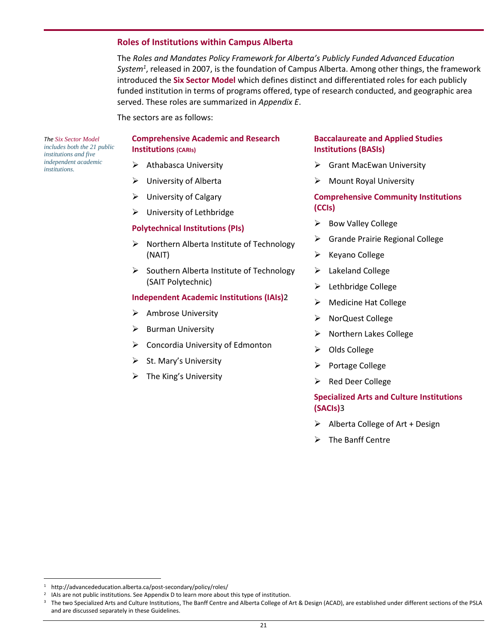#### <span id="page-24-0"></span>**Roles of Institutions within Campus Alberta**

The *Roles and Mandates Policy Framework for Alberta's Publicly Funded Advanced Education System<sup>1</sup>* , released in 2007, is the foundation of Campus Alberta. Among other things, the framework introduced the **Six Sector Model** which defines distinct and differentiated roles for each publicly funded institution in terms of programs offered, type of research conducted, and geographic area served. These roles are summarized in *Appendix E*.

The sectors are as follows:

*The Six Sector Model includes both the 21 public institutions and five independent academic institutions.*

#### **Comprehensive Academic and Research Institutions (CARIs)**

- $\triangleright$  Athabasca University
- University of Alberta
- $\triangleright$  University of Calgary
- > University of Lethbridge

#### **Polytechnical Institutions (PIs)**

- $\triangleright$  Northern Alberta Institute of Technology (NAIT)
- $\triangleright$  Southern Alberta Institute of Technology (SAIT Polytechnic)

#### **Independent Academic Institutions (IAIs)**2

- $\triangleright$  Ambrose University
- $\triangleright$  Burman University
- $\triangleright$  Concordia University of Edmonton
- $\triangleright$  St. Mary's University
- $\triangleright$  The King's University

#### **Baccalaureate and Applied Studies Institutions (BASIs)**

- $\triangleright$  Grant MacEwan University
- Mount Royal University

#### **Comprehensive Community Institutions (CCIs)**

- $\triangleright$  Bow Valley College
- Grande Prairie Regional College
- $\triangleright$  Keyano College
- > Lakeland College
- $\blacktriangleright$  Lethbridge College
- $\triangleright$  Medicine Hat College
- > NorQuest College
- $\triangleright$  Northern Lakes College
- $\triangleright$  Olds College
- $\triangleright$  Portage College
- $\triangleright$  Red Deer College

## **Specialized Arts and Culture Institutions (SACIs)**3

- $\triangleright$  Alberta College of Art + Design
- $\triangleright$  The Banff Centre

l

<sup>1</sup> http://advancededucation.alberta.ca/post-secondary/policy/roles/

<sup>&</sup>lt;sup>2</sup> IAIs are not public institutions. See Appendix D to learn more about this type of institution.

<sup>3</sup> The two Specialized Arts and Culture Institutions, The Banff Centre and Alberta College of Art & Design (ACAD), are established under different sections of the PSLA and are discussed separately in these Guidelines.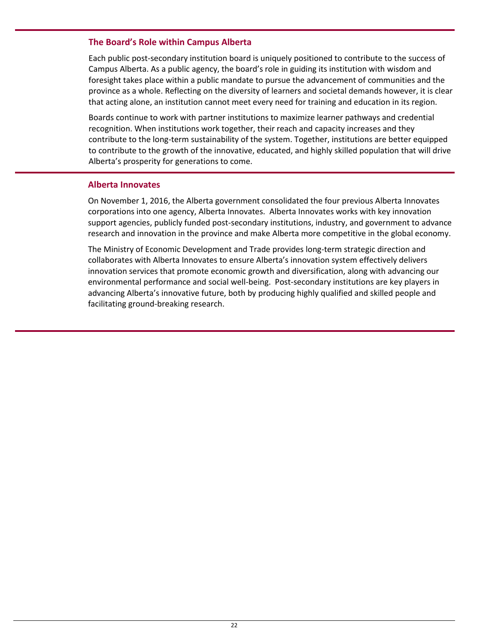#### <span id="page-25-0"></span>**The Board's Role within Campus Alberta**

Each public post-secondary institution board is uniquely positioned to contribute to the success of Campus Alberta. As a public agency, the board's role in guiding its institution with wisdom and foresight takes place within a public mandate to pursue the advancement of communities and the province as a whole. Reflecting on the diversity of learners and societal demands however, it is clear that acting alone, an institution cannot meet every need for training and education in its region.

Boards continue to work with partner institutions to maximize learner pathways and credential recognition. When institutions work together, their reach and capacity increases and they contribute to the long-term sustainability of the system. Together, institutions are better equipped to contribute to the growth of the innovative, educated, and highly skilled population that will drive Alberta's prosperity for generations to come.

#### <span id="page-25-1"></span>**Alberta Innovates**

On November 1, 2016, the Alberta government consolidated the four previous Alberta Innovates corporations into one agency, Alberta Innovates. Alberta Innovates works with key innovation support agencies, publicly funded post-secondary institutions, industry, and government to advance research and innovation in the province and make Alberta more competitive in the global economy.

The Ministry of Economic Development and Trade provides long-term strategic direction and collaborates with Alberta Innovates to ensure Alberta's innovation system effectively delivers innovation services that promote economic growth and diversification, along with advancing our environmental performance and social well-being. Post-secondary institutions are key players in advancing Alberta's innovative future, both by producing highly qualified and skilled people and facilitating ground-breaking research.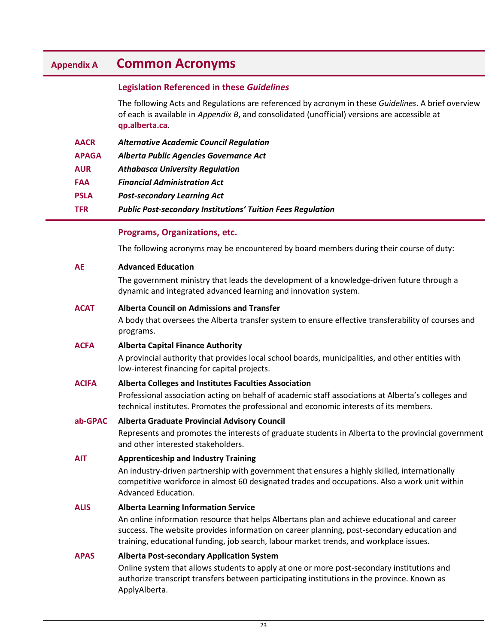## <span id="page-26-0"></span>**Appendix A Common Acronyms**

## <span id="page-26-1"></span>**Legislation Referenced in these** *Guidelines*

The following Acts and Regulations are referenced by acronym in these *Guidelines*. A brief overview of each is available in *Appendix B*, and consolidated (unofficial) versions are accessible at **qp.alberta.ca**.

| <b>AACR</b>  | <b>Alternative Academic Council Regulation</b>                     |
|--------------|--------------------------------------------------------------------|
| <b>APAGA</b> | Alberta Public Agencies Governance Act                             |
| <b>AUR</b>   | <b>Athabasca University Regulation</b>                             |
| <b>FAA</b>   | <b>Financial Administration Act</b>                                |
| <b>PSLA</b>  | <b>Post-secondary Learning Act</b>                                 |
| <b>TFR</b>   | <b>Public Post-secondary Institutions' Tuition Fees Regulation</b> |

#### <span id="page-26-2"></span>**Programs, Organizations, etc.**

The following acronyms may be encountered by board members during their course of duty:

#### **AE Advanced Education**

The government ministry that leads the development of a knowledge-driven future through a dynamic and integrated advanced learning and innovation system.

#### **ACAT Alberta Council on Admissions and Transfer**

A body that oversees the Alberta transfer system to ensure effective transferability of courses and programs.

#### **ACFA Alberta Capital Finance Authority**

A provincial authority that provides local school boards, municipalities, and other entities with low-interest financing for capital projects.

#### **ACIFA Alberta Colleges and Institutes Faculties Association**

Professional association acting on behalf of academic staff associations at Alberta's colleges and technical institutes. Promotes the professional and economic interests of its members.

#### **ab-GPAC Alberta Graduate Provincial Advisory Council**

Represents and promotes the interests of graduate students in Alberta to the provincial government and other interested stakeholders.

#### **AIT Apprenticeship and Industry Training**

An industry-driven partnership with government that ensures a highly skilled, internationally competitive workforce in almost 60 designated trades and occupations. Also a work unit within Advanced Education.

#### **ALIS Alberta Learning Information Service**

An online information resource that helps Albertans plan and achieve educational and career success. The website provides information on career planning, post-secondary education and training, educational funding, job search, labour market trends, and workplace issues.

#### **APAS Alberta Post-secondary Application System**

Online system that allows students to apply at one or more post-secondary institutions and authorize transcript transfers between participating institutions in the province. Known as ApplyAlberta.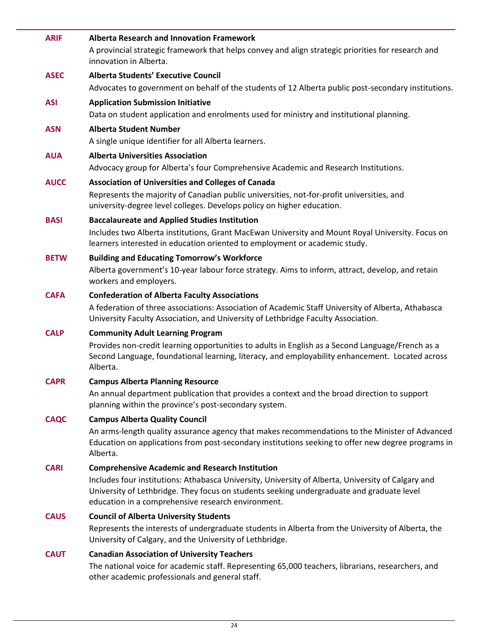| <b>ARIF</b> | <b>Alberta Research and Innovation Framework</b><br>A provincial strategic framework that helps convey and align strategic priorities for research and<br>innovation in Alberta.                                                                      |
|-------------|-------------------------------------------------------------------------------------------------------------------------------------------------------------------------------------------------------------------------------------------------------|
| <b>ASEC</b> | <b>Alberta Students' Executive Council</b><br>Advocates to government on behalf of the students of 12 Alberta public post-secondary institutions.                                                                                                     |
| <b>ASI</b>  | <b>Application Submission Initiative</b><br>Data on student application and enrolments used for ministry and institutional planning.                                                                                                                  |
| <b>ASN</b>  | <b>Alberta Student Number</b><br>A single unique identifier for all Alberta learners.                                                                                                                                                                 |
| <b>AUA</b>  | <b>Alberta Universities Association</b>                                                                                                                                                                                                               |
|             | Advocacy group for Alberta's four Comprehensive Academic and Research Institutions.                                                                                                                                                                   |
| <b>AUCC</b> | <b>Association of Universities and Colleges of Canada</b><br>Represents the majority of Canadian public universities, not-for-profit universities, and<br>university-degree level colleges. Develops policy on higher education.                      |
| <b>BASI</b> | <b>Baccalaureate and Applied Studies Institution</b>                                                                                                                                                                                                  |
|             | Includes two Alberta institutions, Grant MacEwan University and Mount Royal University. Focus on<br>learners interested in education oriented to employment or academic study.                                                                        |
| <b>BETW</b> | <b>Building and Educating Tomorrow's Workforce</b><br>Alberta government's 10-year labour force strategy. Aims to inform, attract, develop, and retain<br>workers and employers.                                                                      |
| <b>CAFA</b> | <b>Confederation of Alberta Faculty Associations</b>                                                                                                                                                                                                  |
|             | A federation of three associations: Association of Academic Staff University of Alberta, Athabasca<br>University Faculty Association, and University of Lethbridge Faculty Association.                                                               |
| <b>CALP</b> | <b>Community Adult Learning Program</b>                                                                                                                                                                                                               |
|             | Provides non-credit learning opportunities to adults in English as a Second Language/French as a<br>Second Language, foundational learning, literacy, and employability enhancement. Located across<br>Alberta.                                       |
| <b>CAPR</b> | <b>Campus Alberta Planning Resource</b>                                                                                                                                                                                                               |
|             | An annual department publication that provides a context and the broad direction to support<br>planning within the province's post-secondary system.                                                                                                  |
| <b>CAQC</b> | <b>Campus Alberta Quality Council</b>                                                                                                                                                                                                                 |
|             | An arms-length quality assurance agency that makes recommendations to the Minister of Advanced<br>Education on applications from post-secondary institutions seeking to offer new degree programs in<br>Alberta.                                      |
| <b>CARI</b> | <b>Comprehensive Academic and Research Institution</b>                                                                                                                                                                                                |
|             | Includes four institutions: Athabasca University, University of Alberta, University of Calgary and<br>University of Lethbridge. They focus on students seeking undergraduate and graduate level<br>education in a comprehensive research environment. |
| <b>CAUS</b> | <b>Council of Alberta University Students</b>                                                                                                                                                                                                         |
|             | Represents the interests of undergraduate students in Alberta from the University of Alberta, the<br>University of Calgary, and the University of Lethbridge.                                                                                         |
| <b>CAUT</b> | <b>Canadian Association of University Teachers</b>                                                                                                                                                                                                    |
|             | The national voice for academic staff. Representing 65,000 teachers, librarians, researchers, and<br>other academic professionals and general staff.                                                                                                  |
|             |                                                                                                                                                                                                                                                       |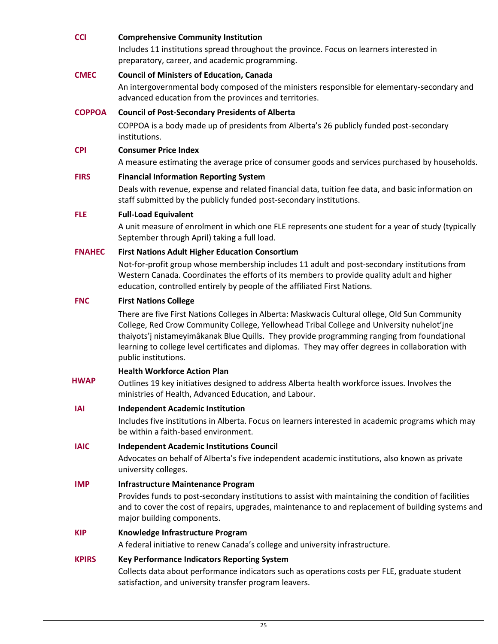#### **CCI Comprehensive Community Institution**

Includes 11 institutions spread throughout the province. Focus on learners interested in preparatory, career, and academic programming.

#### **CMEC Council of Ministers of Education, Canada**

An intergovernmental body composed of the ministers responsible for elementary-secondary and advanced education from the provinces and territories.

#### **COPPOA Council of Post-Secondary Presidents of Alberta**

COPPOA is a body made up of presidents from Alberta's 26 publicly funded post-secondary institutions.

#### **CPI Consumer Price Index**

A measure estimating the average price of consumer goods and services purchased by households.

#### **FIRS Financial Information Reporting System**

Deals with revenue, expense and related financial data, tuition fee data, and basic information on staff submitted by the publicly funded post-secondary institutions.

#### **FLE Full-Load Equivalent**

A unit measure of enrolment in which one FLE represents one student for a year of study (typically September through April) taking a full load.

#### **FNAHEC First Nations Adult Higher Education Consortium**

Not-for-profit group whose membership includes 11 adult and post-secondary institutions from Western Canada. Coordinates the efforts of its members to provide quality adult and higher education, controlled entirely by people of the affiliated First Nations.

#### **FNC First Nations College**

There are five First Nations Colleges in Alberta: Maskwacis Cultural ollege, Old Sun Community College, Red Crow Community College, Yellowhead Tribal College and University nuhelot'įne thaiyots'į nistameyimâkanak Blue Quills. They provide programming ranging from foundational learning to college level certificates and diplomas. They may offer degrees in collaboration with public institutions.

#### **Health Workforce Action Plan**

 **HWAP** Outlines 19 key initiatives designed to address Alberta health workforce issues. Involves the ministries of Health, Advanced Education, and Labour.

#### **IAI Independent Academic Institution**

Includes five institutions in Alberta. Focus on learners interested in academic programs which may be within a faith-based environment.

#### **IAIC Independent Academic Institutions Council**

Advocates on behalf of Alberta's five independent academic institutions, also known as private university colleges.

#### **IMP Infrastructure Maintenance Program**

Provides funds to post-secondary institutions to assist with maintaining the condition of facilities and to cover the cost of repairs, upgrades, maintenance to and replacement of building systems and major building components.

#### **KIP Knowledge Infrastructure Program**

A federal initiative to renew Canada's college and university infrastructure.

#### **KPIRS Key Performance Indicators Reporting System**

Collects data about performance indicators such as operations costs per FLE, graduate student satisfaction, and university transfer program leavers.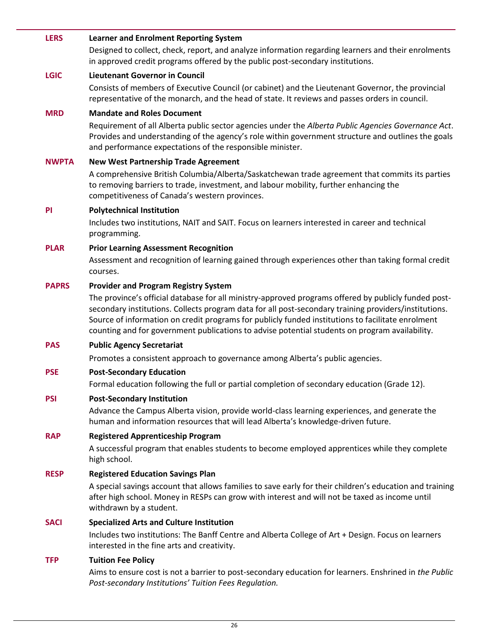#### **LERS Learner and Enrolment Reporting System**

Designed to collect, check, report, and analyze information regarding learners and their enrolments in approved credit programs offered by the public post-secondary institutions.

#### **LGIC Lieutenant Governor in Council**

Consists of members of Executive Council (or cabinet) and the Lieutenant Governor, the provincial representative of the monarch, and the head of state. It reviews and passes orders in council.

#### **MRD Mandate and Roles Document**

Requirement of all Alberta public sector agencies under the *Alberta Public Agencies Governance Act*. Provides and understanding of the agency's role within government structure and outlines the goals and performance expectations of the responsible minister.

#### **NWPTA New West Partnership Trade Agreement**

A comprehensive British Columbia/Alberta/Saskatchewan trade agreement that commits its parties to removing barriers to trade, investment, and labour mobility, further enhancing the competitiveness of Canada's western provinces.

#### **PI Polytechnical Institution**

Includes two institutions, NAIT and SAIT. Focus on learners interested in career and technical programming.

#### **PLAR Prior Learning Assessment Recognition**

Assessment and recognition of learning gained through experiences other than taking formal credit courses.

#### **PAPRS Provider and Program Registry System**

The province's official database for all ministry-approved programs offered by publicly funded postsecondary institutions. Collects program data for all post-secondary training providers/institutions. Source of information on credit programs for publicly funded institutions to facilitate enrolment counting and for government publications to advise potential students on program availability.

#### **PAS Public Agency Secretariat**

Promotes a consistent approach to governance among Alberta's public agencies.

#### **PSE Post-Secondary Education**

Formal education following the full or partial completion of secondary education (Grade 12).

#### **PSI Post-Secondary Institution**

Advance the Campus Alberta vision, provide world-class learning experiences, and generate the human and information resources that will lead Alberta's knowledge-driven future.

#### **RAP Registered Apprenticeship Program**

A successful program that enables students to become employed apprentices while they complete high school.

#### **RESP Registered Education Savings Plan**

A special savings account that allows families to save early for their children's education and training after high school. Money in RESPs can grow with interest and will not be taxed as income until withdrawn by a student.

#### **SACI Specialized Arts and Culture Institution**

Includes two institutions: The Banff Centre and Alberta College of Art + Design. Focus on learners interested in the fine arts and creativity.

#### **TFP Tuition Fee Policy**

Aims to ensure cost is not a barrier to post-secondary education for learners. Enshrined in *the Public Post-secondary Institutions' Tuition Fees Regulation.*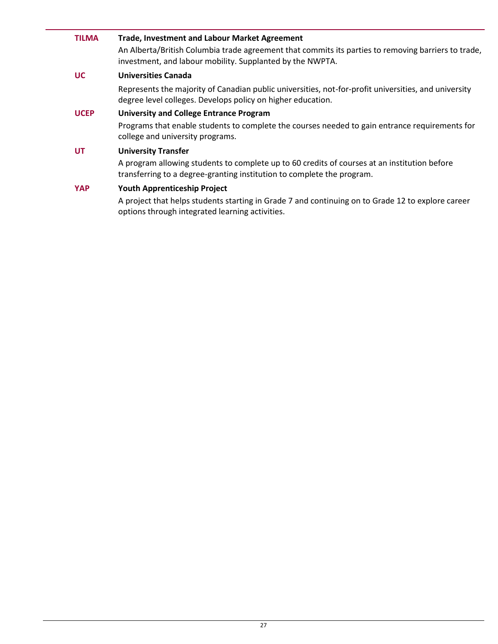## **TILMA Trade, Investment and Labour Market Agreement**

An Alberta/British Columbia trade agreement that commits its parties to removing barriers to trade, investment, and labour mobility. Supplanted by the NWPTA.

#### **UC Universities Canada**

Represents the majority of Canadian public universities, not-for-profit universities, and university degree level colleges. Develops policy on higher education.

#### **UCEP University and College Entrance Program**

Programs that enable students to complete the courses needed to gain entrance requirements for college and university programs.

#### **UT University Transfer**

A program allowing students to complete up to 60 credits of courses at an institution before transferring to a degree-granting institution to complete the program.

#### **YAP Youth Apprenticeship Project**

A project that helps students starting in Grade 7 and continuing on to Grade 12 to explore career options through integrated learning activities.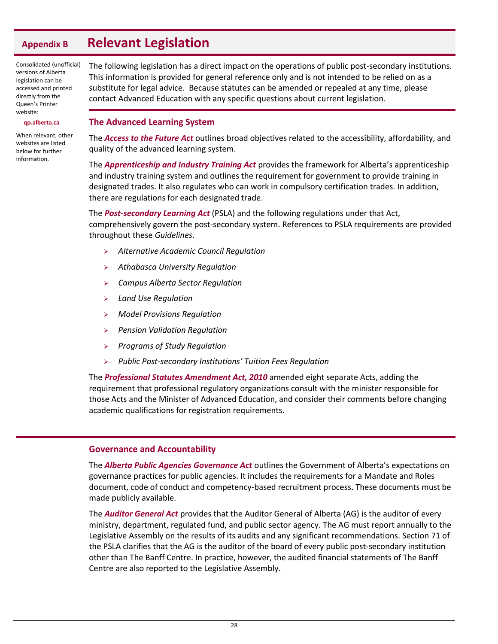## <span id="page-31-0"></span>**Appendix B Relevant Legislation**

Consolidated (unofficial) versions of Alberta legislation can be accessed and printed directly from the Queen's Printer website:

#### **qp.alberta.ca**

When relevant, other websites are listed below for further information.

The following legislation has a direct impact on the operations of public post-secondary institutions. This information is provided for general reference only and is not intended to be relied on as a substitute for legal advice. Because statutes can be amended or repealed at any time, please contact Advanced Education with any specific questions about current legislation.

#### <span id="page-31-1"></span>**The Advanced Learning System**

The *Access to the Future Act* outlines broad objectives related to the accessibility, affordability, and quality of the advanced learning system.

The *Apprenticeship and Industry Training Act* provides the framework for Alberta's apprenticeship and industry training system and outlines the requirement for government to provide training in designated trades. It also regulates who can work in compulsory certification trades. In addition, there are regulations for each designated trade.

The *Post-secondary Learning Act* (PSLA) and the following regulations under that Act, comprehensively govern the post-secondary system. References to PSLA requirements are provided throughout these *Guidelines*.

- *Alternative Academic Council Regulation*
- *Athabasca University Regulation*
- *Campus Alberta Sector Regulation*
- *Land Use Regulation*
- *Model Provisions Regulation*
- *Pension Validation Regulation*
- *Programs of Study Regulation*
- *Public Post-secondary Institutions' Tuition Fees Regulation*

The *Professional Statutes Amendment Act, 2010* amended eight separate Acts, adding the requirement that professional regulatory organizations consult with the minister responsible for those Acts and the Minister of Advanced Education, and consider their comments before changing academic qualifications for registration requirements.

#### <span id="page-31-2"></span>**Governance and Accountability**

The *Alberta Public Agencies Governance Act* outlines the Government of Alberta's expectations on governance practices for public agencies. It includes the requirements for a Mandate and Roles document, code of conduct and competency-based recruitment process. These documents must be made publicly available.

The *Auditor General Act* provides that the Auditor General of Alberta (AG) is the auditor of every ministry, department, regulated fund, and public sector agency. The AG must report annually to the Legislative Assembly on the results of its audits and any significant recommendations. Section 71 of the PSLA clarifies that the AG is the auditor of the board of every public post-secondary institution other than The Banff Centre. In practice, however, the audited financial statements of The Banff Centre are also reported to the Legislative Assembly.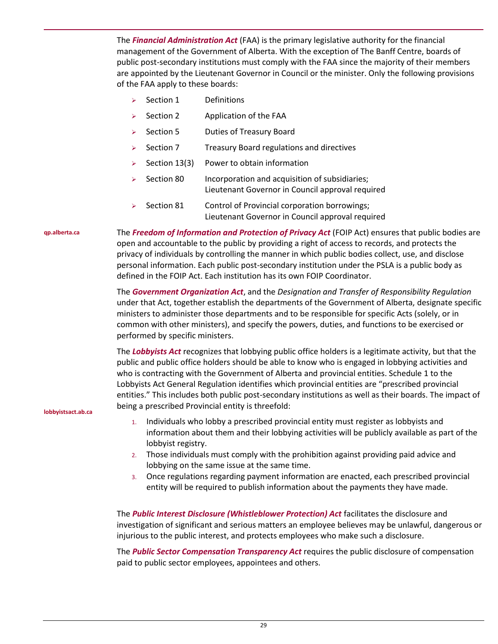The *Financial Administration Act* (FAA) is the primary legislative authority for the financial management of the Government of Alberta. With the exception of The Banff Centre, boards of public post-secondary institutions must comply with the FAA since the majority of their members are appointed by the Lieutenant Governor in Council or the minister. Only the following provisions of the FAA apply to these boards:

- Section 1 Definitions
- $\triangleright$  Section 2 Application of the FAA
- Section 5 Duties of Treasury Board
- Section 7 Treasury Board regulations and directives
- $\triangleright$  Section 13(3) Power to obtain information
- Section 80 Incorporation and acquisition of subsidiaries; Lieutenant Governor in Council approval required
- Section 81 Control of Provincial corporation borrowings; Lieutenant Governor in Council approval required

**qp.alberta.ca**

The *Freedom of Information and Protection of Privacy Act* (FOIP Act) ensures that public bodies are open and accountable to the public by providing a right of access to records, and protects the privacy of individuals by controlling the manner in which public bodies collect, use, and disclose personal information. Each public post-secondary institution under the PSLA is a public body as defined in the FOIP Act. Each institution has its own FOIP Coordinator.

The *Government Organization Act*, and the *Designation and Transfer of Responsibility Regulation* under that Act, together establish the departments of the Government of Alberta, designate specific ministers to administer those departments and to be responsible for specific Acts (solely, or in common with other ministers), and specify the powers, duties, and functions to be exercised or performed by specific ministers.

The *Lobbyists Act* recognizes that lobbying public office holders is a legitimate activity, but that the public and public office holders should be able to know who is engaged in lobbying activities and who is contracting with the Government of Alberta and provincial entities. Schedule 1 to the Lobbyists Act General Regulation identifies which provincial entities are "prescribed provincial entities." This includes both public post-secondary institutions as well as their boards. The impact of being a prescribed Provincial entity is threefold:

**lobbyistsact.ab.ca**

- 1. Individuals who lobby a prescribed provincial entity must register as lobbyists and information about them and their lobbying activities will be publicly available as part of the lobbyist registry.
- 2. Those individuals must comply with the prohibition against providing paid advice and lobbying on the same issue at the same time.
- 3. Once regulations regarding payment information are enacted, each prescribed provincial entity will be required to publish information about the payments they have made.

The *Public Interest Disclosure (Whistleblower Protection) Act* facilitates the disclosure and investigation of significant and serious matters an employee believes may be unlawful, dangerous or injurious to the public interest, and protects employees who make such a disclosure.

The *Public Sector Compensation Transparency Act* requires the public disclosure of compensation paid to public sector employees, appointees and others.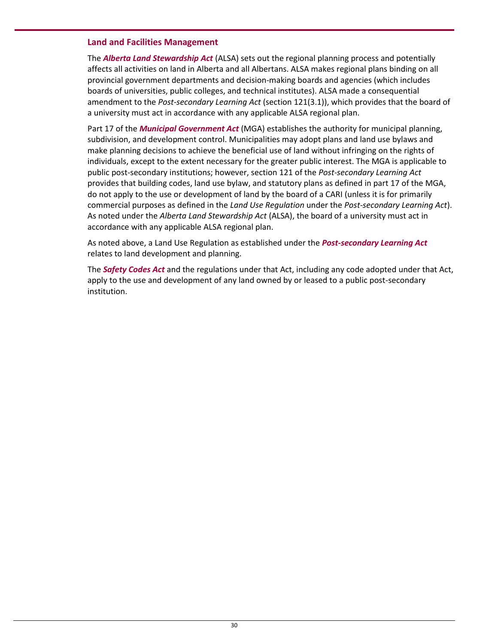#### <span id="page-33-0"></span>**Land and Facilities Management**

The *Alberta Land Stewardship Act* (ALSA) sets out the regional planning process and potentially affects all activities on land in Alberta and all Albertans. ALSA makes regional plans binding on all provincial government departments and decision-making boards and agencies (which includes boards of universities, public colleges, and technical institutes). ALSA made a consequential amendment to the *Post-secondary Learning Act* (section 121(3.1)), which provides that the board of a university must act in accordance with any applicable ALSA regional plan.

Part 17 of the *Municipal Government Act* (MGA) establishes the authority for municipal planning, subdivision, and development control. Municipalities may adopt plans and land use bylaws and make planning decisions to achieve the beneficial use of land without infringing on the rights of individuals, except to the extent necessary for the greater public interest. The MGA is applicable to public post-secondary institutions; however, section 121 of the *Post-secondary Learning Act* provides that building codes, land use bylaw, and statutory plans as defined in part 17 of the MGA, do not apply to the use or development of land by the board of a CARI (unless it is for primarily commercial purposes as defined in the *Land Use Regulation* under the *Post-secondary Learning Act*). As noted under the *Alberta Land Stewardship Act* (ALSA), the board of a university must act in accordance with any applicable ALSA regional plan.

As noted above, a Land Use Regulation as established under the *Post-secondary Learning Act* relates to land development and planning.

The *Safety Codes Act* and the regulations under that Act, including any code adopted under that Act, apply to the use and development of any land owned by or leased to a public post-secondary institution.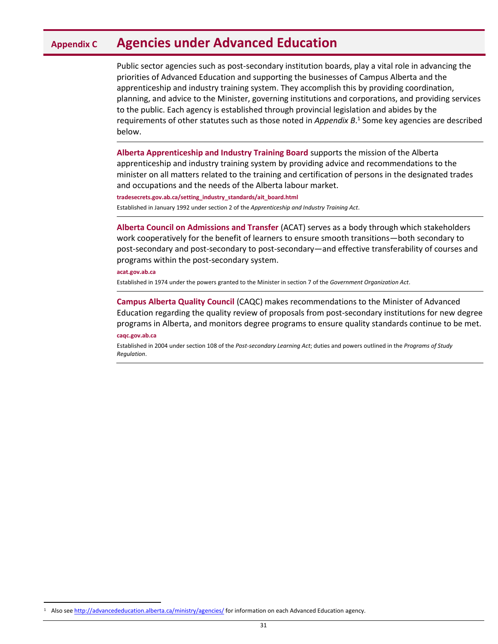## <span id="page-34-0"></span>**Appendix C Agencies under Advanced Education**

Public sector agencies such as post-secondary institution boards, play a vital role in advancing the priorities of Advanced Education and supporting the businesses of Campus Alberta and the apprenticeship and industry training system. They accomplish this by providing coordination, planning, and advice to the Minister, governing institutions and corporations, and providing services to the public. Each agency is established through provincial legislation and abides by the requirements of other statutes such as those noted in *Appendix B*. 1 Some key agencies are described below.

**Alberta Apprenticeship and Industry Training Board** supports the mission of the Alberta apprenticeship and industry training system by providing advice and recommendations to the minister on all matters related to the training and certification of persons in the designated trades and occupations and the needs of the Alberta labour market.

**tradesecrets.gov.ab.ca/setting\_industry\_standards/ait\_board.html**

Established in January 1992 under section 2 of the *Apprenticeship and Industry Training Act*.

**Alberta Council on Admissions and Transfer** (ACAT) serves as a body through which stakeholders work cooperatively for the benefit of learners to ensure smooth transitions—both secondary to post-secondary and post-secondary to post-secondary—and effective transferability of courses and programs within the post-secondary system.

#### **acat.gov.ab.ca**

Established in 1974 under the powers granted to the Minister in section 7 of the *Government Organization Act*.

**Campus Alberta Quality Council** (CAQC) makes recommendations to the Minister of Advanced Education regarding the quality review of proposals from post-secondary institutions for new degree programs in Alberta, and monitors degree programs to ensure quality standards continue to be met.

#### **caqc.gov.ab.ca**

l

Established in 2004 under section 108 of the *Post-secondary Learning Act*; duties and powers outlined in the *Programs of Study Regulation*.

Also se[e http://advancededucation.alberta.ca/ministry/agencies/](http://advancededucation.alberta.ca/ministry/agencies/) for information on each Advanced Education agency.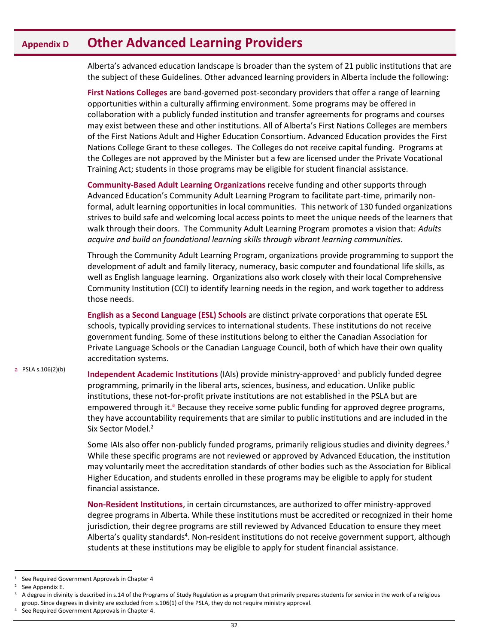## <span id="page-35-0"></span>**Appendix D Other Advanced Learning Providers**

Alberta's advanced education landscape is broader than the system of 21 public institutions that are the subject of these Guidelines. Other advanced learning providers in Alberta include the following:

**First Nations Colleges** are band-governed post-secondary providers that offer a range of learning opportunities within a culturally affirming environment. Some programs may be offered in collaboration with a publicly funded institution and transfer agreements for programs and courses may exist between these and other institutions. All of Alberta's First Nations Colleges are members of the First Nations Adult and Higher Education Consortium. Advanced Education provides the First Nations College Grant to these colleges. The Colleges do not receive capital funding. Programs at the Colleges are not approved by the Minister but a few are licensed under the Private Vocational Training Act; students in those programs may be eligible for student financial assistance.

**Community-Based Adult Learning Organizations** receive funding and other supports through Advanced Education's Community Adult Learning Program to facilitate part-time, primarily nonformal, adult learning opportunities in local communities. This network of 130 funded organizations strives to build safe and welcoming local access points to meet the unique needs of the learners that walk through their doors. The Community Adult Learning Program promotes a vision that: *Adults acquire and build on foundational learning skills through vibrant learning communities*.

Through the Community Adult Learning Program, organizations provide programming to support the development of adult and family literacy, numeracy, basic computer and foundational life skills, as well as English language learning. Organizations also work closely with their local Comprehensive Community Institution (CCI) to identify learning needs in the region, and work together to address those needs.

**English as a Second Language (ESL) Schools** are distinct private corporations that operate ESL schools, typically providing services to international students. These institutions do not receive government funding. Some of these institutions belong to either the Canadian Association for Private Language Schools or the Canadian Language Council, both of which have their own quality accreditation systems.

a PSLA s.106(2)(b) **Independent Academic Institutions** (IAIs) provide ministry-approved<sup>1</sup> and publicly funded degree programming, primarily in the liberal arts, sciences, business, and education. Unlike public institutions, these not-for-profit private institutions are not established in the PSLA but are empowered through it.<sup>a</sup> Because they receive some public funding for approved degree programs, they have accountability requirements that are similar to public institutions and are included in the Six Sector Model.<sup>2</sup>

> Some IAIs also offer non-publicly funded programs, primarily religious studies and divinity degrees.<sup>3</sup> While these specific programs are not reviewed or approved by Advanced Education, the institution may voluntarily meet the accreditation standards of other bodies such as the Association for Biblical Higher Education, and students enrolled in these programs may be eligible to apply for student financial assistance.

> **Non-Resident Institutions**, in certain circumstances, are authorized to offer ministry-approved degree programs in Alberta. While these institutions must be accredited or recognized in their home jurisdiction, their degree programs are still reviewed by Advanced Education to ensure they meet Alberta's quality standards<sup>4</sup>. Non-resident institutions do not receive government support, although students at these institutions may be eligible to apply for student financial assistance.

 $\overline{a}$ 

 $1$  See Required Government Approvals in Chapter 4

 $2$  See Appendix E.

<sup>3</sup> A degree in divinity is described in s.14 of the Programs of Study Regulation as a program that primarily prepares students for service in the work of a religious group. Since degrees in divinity are excluded from s.106(1) of the PSLA, they do not require ministry approval.

<sup>4</sup> See Required Government Approvals in Chapter 4.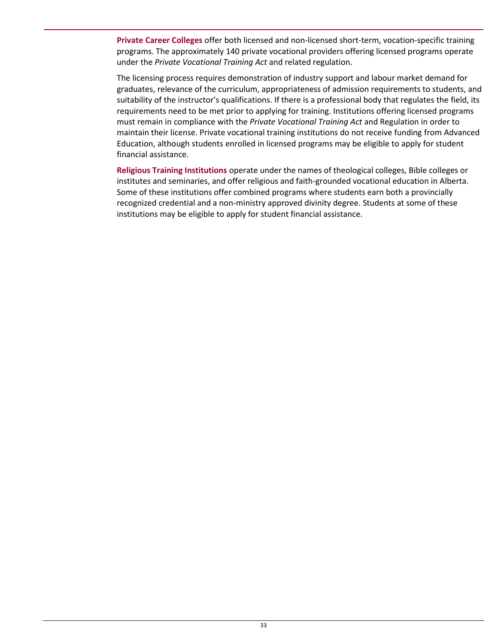**Private Career Colleges** offer both licensed and non-licensed short-term, vocation-specific training programs. The approximately 140 private vocational providers offering licensed programs operate under the *Private Vocational Training Act* and related regulation.

The licensing process requires demonstration of industry support and labour market demand for graduates, relevance of the curriculum, appropriateness of admission requirements to students, and suitability of the instructor's qualifications. If there is a professional body that regulates the field, its requirements need to be met prior to applying for training. Institutions offering licensed programs must remain in compliance with the *Private Vocational Training Act* and Regulation in order to maintain their license. Private vocational training institutions do not receive funding from Advanced Education, although students enrolled in licensed programs may be eligible to apply for student financial assistance.

**Religious Training Institutions** operate under the names of theological colleges, Bible colleges or institutes and seminaries, and offer religious and faith-grounded vocational education in Alberta. Some of these institutions offer combined programs where students earn both a provincially recognized credential and a non-ministry approved divinity degree. Students at some of these institutions may be eligible to apply for student financial assistance.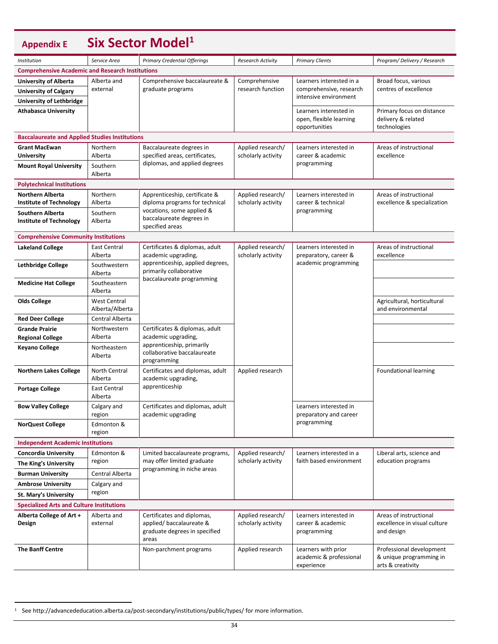<span id="page-37-0"></span>

| <b>Appendix E</b>                                             |                          | Six Sector Model <sup>1</sup>                                                                   |                                         |                                                                    |                                                                          |
|---------------------------------------------------------------|--------------------------|-------------------------------------------------------------------------------------------------|-----------------------------------------|--------------------------------------------------------------------|--------------------------------------------------------------------------|
| Institution                                                   | Service Area             | <b>Primary Credential Offerings</b>                                                             | <b>Research Activity</b>                | <b>Primary Clients</b>                                             | Program/Delivery / Research                                              |
| <b>Comprehensive Academic and Research Institutions</b>       |                          |                                                                                                 |                                         |                                                                    |                                                                          |
| <b>University of Alberta</b>                                  | Alberta and              | Comprehensive baccalaureate &                                                                   | Comprehensive                           | Learners interested in a                                           | Broad focus, various                                                     |
| <b>University of Calgary</b>                                  | external                 | graduate programs                                                                               | research function                       | comprehensive, research                                            | centres of excellence                                                    |
| <b>University of Lethbridge</b>                               |                          |                                                                                                 |                                         | intensive environment                                              |                                                                          |
| <b>Athabasca University</b>                                   |                          |                                                                                                 |                                         | Learners interested in<br>open, flexible learning<br>opportunities | Primary focus on distance<br>delivery & related<br>technologies          |
| <b>Baccalaureate and Applied Studies Institutions</b>         |                          |                                                                                                 |                                         |                                                                    |                                                                          |
| <b>Grant MacEwan</b><br><b>University</b>                     | Northern<br>Alberta      | Baccalaureate degrees in<br>specified areas, certificates,                                      | Applied research/<br>scholarly activity | Learners interested in<br>career & academic                        | Areas of instructional<br>excellence                                     |
| <b>Mount Royal University</b>                                 | Southern<br>Alberta      | diplomas, and applied degrees                                                                   |                                         | programming                                                        |                                                                          |
| <b>Polytechnical Institutions</b>                             |                          |                                                                                                 |                                         |                                                                    |                                                                          |
| <b>Northern Alberta</b><br><b>Institute of Technology</b>     | Northern<br>Alberta      | Apprenticeship, certificate &<br>diploma programs for technical                                 | Applied research/<br>scholarly activity | Learners interested in<br>career & technical                       | Areas of instructional<br>excellence & specialization                    |
| <b>Southern Alberta</b>                                       | Southern                 | vocations, some applied &                                                                       |                                         | programming                                                        |                                                                          |
| <b>Institute of Technology</b>                                | Alberta                  | baccalaureate degrees in<br>specified areas                                                     |                                         |                                                                    |                                                                          |
| <b>Comprehensive Community Institutions</b>                   |                          |                                                                                                 |                                         |                                                                    |                                                                          |
| <b>Lakeland College</b>                                       | East Central             | Certificates & diplomas, adult                                                                  | Applied research/                       | Learners interested in                                             | Areas of instructional                                                   |
|                                                               | Alberta                  | academic upgrading,                                                                             | scholarly activity                      | preparatory, career &<br>academic programming                      | excellence                                                               |
| <b>Lethbridge College</b>                                     | Southwestern<br>Alberta  | apprenticeship, applied degrees,<br>primarily collaborative<br>baccalaureate programming        |                                         |                                                                    |                                                                          |
| <b>Medicine Hat College</b>                                   | Southeastern<br>Alberta  |                                                                                                 |                                         |                                                                    |                                                                          |
| <b>Olds College</b><br><b>West Central</b><br>Alberta/Alberta |                          |                                                                                                 |                                         |                                                                    | Agricultural, horticultural<br>and environmental                         |
| <b>Red Deer College</b>                                       | Central Alberta          |                                                                                                 |                                         |                                                                    |                                                                          |
| <b>Grande Prairie</b>                                         | Northwestern             | Certificates & diplomas, adult                                                                  |                                         |                                                                    |                                                                          |
| <b>Regional College</b>                                       | Alberta                  | academic upgrading,<br>apprenticeship, primarily                                                |                                         |                                                                    |                                                                          |
| <b>Keyano College</b>                                         | Northeastern<br>Alberta  | collaborative baccalaureate<br>programming                                                      |                                         |                                                                    |                                                                          |
| <b>Northern Lakes College</b>                                 | North Central<br>Alberta | Certificates and diplomas, adult<br>academic upgrading,                                         | Applied research                        |                                                                    | Foundational learning                                                    |
| <b>Portage College</b>                                        | East Central<br>Alberta  | apprenticeship                                                                                  |                                         |                                                                    |                                                                          |
| <b>Bow Valley College</b>                                     | Calgary and<br>region    | Certificates and diplomas, adult<br>academic upgrading                                          |                                         | Learners interested in<br>preparatory and career                   |                                                                          |
| <b>NorQuest College</b>                                       | Edmonton &<br>region     |                                                                                                 |                                         | programming                                                        |                                                                          |
| <b>Independent Academic Institutions</b>                      |                          |                                                                                                 |                                         |                                                                    |                                                                          |
| <b>Concordia University</b>                                   | Edmonton &               | Limited baccalaureate programs,                                                                 | Applied research/                       | Learners interested in a                                           | Liberal arts, science and                                                |
| The King's University                                         | region                   | may offer limited graduate<br>programming in niche areas                                        | scholarly activity                      | faith based environment                                            | education programs                                                       |
| <b>Burman University</b>                                      | Central Alberta          |                                                                                                 |                                         |                                                                    |                                                                          |
| <b>Ambrose University</b>                                     | Calgary and              |                                                                                                 |                                         |                                                                    |                                                                          |
| St. Mary's University                                         | region                   |                                                                                                 |                                         |                                                                    |                                                                          |
| <b>Specialized Arts and Culture Institutions</b>              |                          |                                                                                                 |                                         |                                                                    |                                                                          |
| Alberta College of Art +<br>Design                            | Alberta and<br>external  | Certificates and diplomas,<br>applied/baccalaureate &<br>graduate degrees in specified<br>areas | Applied research/<br>scholarly activity | Learners interested in<br>career & academic<br>programming         | Areas of instructional<br>excellence in visual culture<br>and design     |
| <b>The Banff Centre</b>                                       |                          | Non-parchment programs                                                                          | Applied research                        | Learners with prior<br>academic & professional<br>experience       | Professional development<br>& unique programming in<br>arts & creativity |

l

<sup>1</sup> See http://advancededucation.alberta.ca/post-secondary/institutions/public/types/ for more information.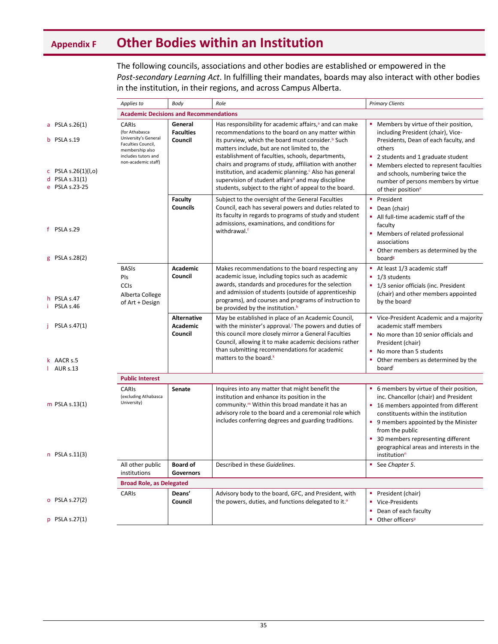# <span id="page-38-0"></span>**Appendix F Other Bodies within an Institution**

The following councils, associations and other bodies are established or empowered in the *Post-secondary Learning Act*. In fulfilling their mandates, boards may also interact with other bodies in the institution, in their regions, and across Campus Alberta.

|                                                                | Applies to                                                                                                             | Body                                             | Role                                                                                                                                                                                                                                                                                          | <b>Primary Clients</b>                                                                                                                                                                                                            |  |
|----------------------------------------------------------------|------------------------------------------------------------------------------------------------------------------------|--------------------------------------------------|-----------------------------------------------------------------------------------------------------------------------------------------------------------------------------------------------------------------------------------------------------------------------------------------------|-----------------------------------------------------------------------------------------------------------------------------------------------------------------------------------------------------------------------------------|--|
|                                                                | <b>Academic Decisions and Recommendations</b>                                                                          |                                                  |                                                                                                                                                                                                                                                                                               |                                                                                                                                                                                                                                   |  |
| a PSLA s.26 $(1)$<br>b PSLA s.19                               | <b>CARIS</b><br>(for Athabasca<br>University's General<br>Faculties Council,<br>membership also<br>includes tutors and | General<br><b>Faculties</b><br>Council           | Has responsibility for academic affairs, <sup>a</sup> and can make<br>recommendations to the board on any matter within<br>its purview, which the board must consider. <sup>b</sup> Such<br>matters include, but are not limited to, the<br>establishment of faculties, schools, departments, | Members by virtue of their position,<br>including President (chair), Vice-<br>Presidents, Dean of each faculty, and<br>others<br>2 students and 1 graduate student                                                                |  |
| c PSLA s.26(1)( $I, o$ )<br>d PSLA $s.31(1)$<br>e PSLA s.23-25 | non-academic staff)                                                                                                    |                                                  | chairs and programs of study, affiliation with another<br>institution, and academic planning. <sup>c</sup> Also has general<br>supervision of student affairs <sup>d</sup> and may discipline<br>students, subject to the right of appeal to the board.                                       | Members elected to represent faculties<br>and schools, numbering twice the<br>number of persons members by virtue<br>of their position <sup>e</sup>                                                                               |  |
| f PSLA s.29                                                    |                                                                                                                        | <b>Faculty</b><br><b>Councils</b>                | Subject to the oversight of the General Faculties<br>Council, each has several powers and duties related to<br>its faculty in regards to programs of study and student<br>admissions, examinations, and conditions for<br>withdrawal. <sup>f</sup>                                            | President<br>Dean (chair)<br>All full-time academic staff of the<br>faculty<br>Members of related professional<br>associations<br>• Other members as determined by the                                                            |  |
| g PSLA s.28(2)                                                 | <b>BASIs</b><br>PIs                                                                                                    | Academic<br>Council                              | Makes recommendations to the board respecting any<br>academic issue, including topics such as academic                                                                                                                                                                                        | board <sup>g</sup><br>At least 1/3 academic staff<br>1/3 students                                                                                                                                                                 |  |
| h PSLA s.47<br>PSLA s.46                                       | <b>CCIs</b><br>Alberta College<br>of Art + Design                                                                      |                                                  | awards, standards and procedures for the selection<br>and admission of students (outside of apprenticeship<br>programs), and courses and programs of instruction to<br>be provided by the institution. <sup>h</sup>                                                                           | 1/3 senior officials (inc. President<br>(chair) and other members appointed<br>by the board                                                                                                                                       |  |
| PSLA s.47(1)                                                   |                                                                                                                        | <b>Alternative</b><br><b>Academic</b><br>Council | May be established in place of an Academic Council,<br>with the minister's approval. <sup>j</sup> The powers and duties of<br>this council more closely mirror a General Faculties<br>Council, allowing it to make academic decisions rather<br>than submitting recommendations for academic  | • Vice-President Academic and a majority<br>academic staff members<br>• No more than 10 senior officials and<br>President (chair)<br>No more than 5 students                                                                      |  |
| k AACR s.5<br>$I$ AUR s.13                                     |                                                                                                                        |                                                  | matters to the board. <sup>k</sup>                                                                                                                                                                                                                                                            | Other members as determined by the<br>٠<br>board                                                                                                                                                                                  |  |
|                                                                | <b>Public Interest</b>                                                                                                 |                                                  |                                                                                                                                                                                                                                                                                               |                                                                                                                                                                                                                                   |  |
| m PSLA $s.13(1)$                                               | <b>CARIS</b><br>(excluding Athabasca<br>University)                                                                    | <b>Senate</b>                                    | Inquires into any matter that might benefit the<br>institution and enhance its position in the<br>community. <sup>m</sup> Within this broad mandate it has an<br>advisory role to the board and a ceremonial role which<br>includes conferring degrees and guarding traditions.               | 6 members by virtue of their position,<br>۰.<br>inc. Chancellor (chair) and President<br>■ 16 members appointed from different<br>constituents within the institution<br>• 9 members appointed by the Minister<br>from the public |  |
| $n$ PSLA s.11(3)                                               |                                                                                                                        |                                                  |                                                                                                                                                                                                                                                                                               | 30 members representing different<br>geographical areas and interests in the<br>institution <sup>n</sup>                                                                                                                          |  |
|                                                                | All other public<br>institutions                                                                                       | <b>Board of</b><br><b>Governors</b>              | Described in these Guidelines.                                                                                                                                                                                                                                                                | See Chapter 5.                                                                                                                                                                                                                    |  |
| <b>Broad Role, as Delegated</b>                                |                                                                                                                        |                                                  |                                                                                                                                                                                                                                                                                               |                                                                                                                                                                                                                                   |  |
| o PSLA s.27(2)                                                 | CARIS                                                                                                                  | Deans'<br>Council                                | Advisory body to the board, GFC, and President, with<br>the powers, duties, and functions delegated to it. <sup>o</sup>                                                                                                                                                                       | President (chair)<br>Vice-Presidents<br>Dean of each faculty<br>٠                                                                                                                                                                 |  |
| p PSLA s.27(1)                                                 |                                                                                                                        |                                                  |                                                                                                                                                                                                                                                                                               | Other officers <sup>p</sup><br>٠                                                                                                                                                                                                  |  |